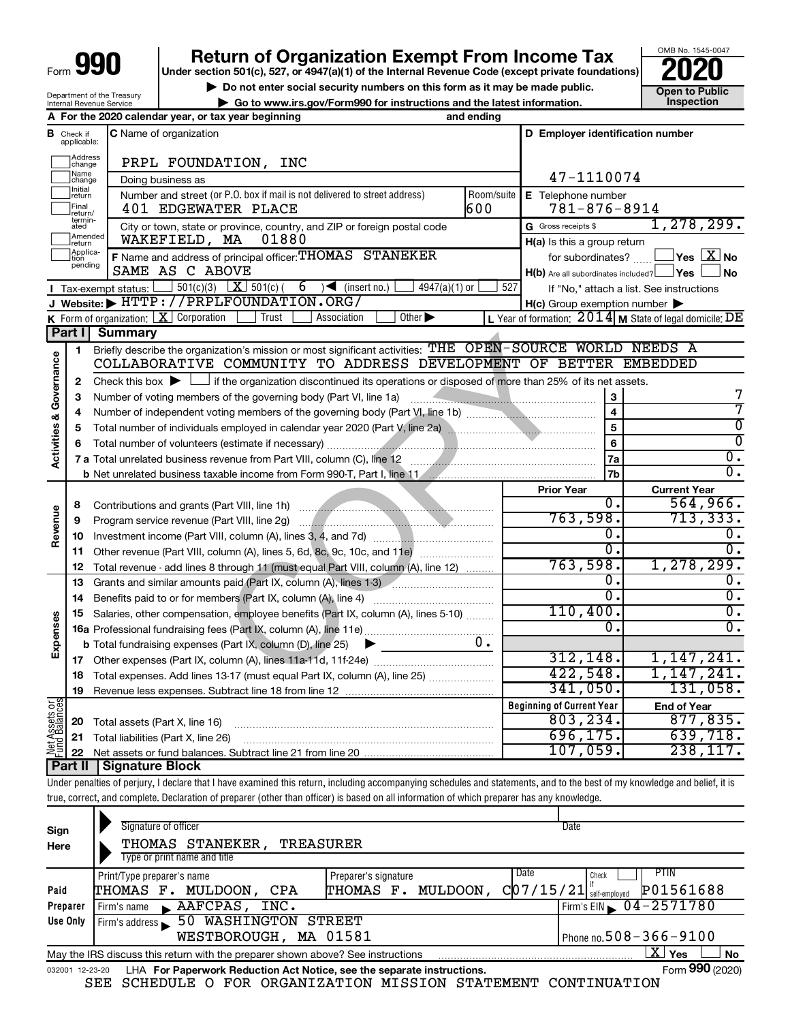# **990** Return of Organization Exempt From Income Tax <br>
Under section 501(c), 527, or 4947(a)(1) of the Internal Revenue Code (except private foundations)<br> **PO20**

▶ Do not enter social security numbers on this form as it may be made public. <br>● Go to www.irs.gov/Form990 for instructions and the latest information. **Dependent in the latest** information. **| Go to www.irs.gov/Form990 for instructions and the latest information. Inspection**

OMB No. 1545-0047

| Department of the Treasury      |  |
|---------------------------------|--|
| <b>Internal Revenue Service</b> |  |

|                         |                                  | A For the 2020 calendar year, or tax year beginning                                                                                                                            | and ending         |                                                     |                                                                                       |
|-------------------------|----------------------------------|--------------------------------------------------------------------------------------------------------------------------------------------------------------------------------|--------------------|-----------------------------------------------------|---------------------------------------------------------------------------------------|
|                         | <b>B</b> Check if<br>applicable: | C Name of organization                                                                                                                                                         |                    | D Employer identification number                    |                                                                                       |
|                         | Address<br>change                | PRPL FOUNDATION, INC                                                                                                                                                           |                    |                                                     |                                                                                       |
|                         | Name<br> change                  | Doing business as                                                                                                                                                              |                    | 47-1110074                                          |                                                                                       |
|                         | Initial<br>return                | Number and street (or P.O. box if mail is not delivered to street address)                                                                                                     | E Telephone number |                                                     |                                                                                       |
|                         | Final<br>return/                 | 401 EDGEWATER PLACE                                                                                                                                                            | 600                | $781 - 876 - 8914$                                  |                                                                                       |
|                         | termin-<br>ated                  | City or town, state or province, country, and ZIP or foreign postal code                                                                                                       |                    | G Gross receipts \$                                 | 1, 278, 299.                                                                          |
|                         | Amended<br>return                | WAKEFIELD, MA<br>01880                                                                                                                                                         |                    | H(a) Is this a group return                         |                                                                                       |
|                         | Applica-<br>tion<br>pending      | F Name and address of principal officer: THOMAS STANEKER                                                                                                                       |                    | for subordinates?                                   | $\overline{\ }$ Yes $\overline{\rm X}$ No                                             |
|                         |                                  | SAME AS C ABOVE                                                                                                                                                                |                    | $H(b)$ Are all subordinates included? $\Box$ Yes    | l No                                                                                  |
|                         |                                  | 501(c)(3) $X \overline{S}$ 501(c)(<br>$6 \rightarrow$ (insert no.)<br>$4947(a)(1)$ or<br>Tax-exempt status:                                                                    | 527                |                                                     | If "No," attach a list. See instructions                                              |
|                         |                                  | $Website:$ $\blacktriangleright$ HTTP://PRPLFOUNDATION.ORG/                                                                                                                    |                    | $H(c)$ Group exemption number $\blacktriangleright$ |                                                                                       |
|                         |                                  | Other $\blacktriangleright$<br>K Form of organization: $X$ Corporation<br>Trust<br>Association                                                                                 |                    |                                                     | L Year of formation: $2014 \text{ m}$ State of legal domicile: $\overline{\text{DE}}$ |
|                         | Part I                           | <b>Summary</b>                                                                                                                                                                 |                    |                                                     |                                                                                       |
|                         | 1                                | Briefly describe the organization's mission or most significant activities: THE OPEN-SOURCE WORLD NEEDS A<br>COLLABORATIVE COMMUNITY TO ADDRESS DEVELOPMENT OF BETTER EMBEDDED |                    |                                                     |                                                                                       |
| Governance              |                                  |                                                                                                                                                                                |                    |                                                     |                                                                                       |
|                         | 2                                | Check this box $\blacktriangleright$ $\Box$ if the organization discontinued its operations or disposed of more than 25% of its net assets.                                    |                    |                                                     |                                                                                       |
|                         | з                                | Number of voting members of the governing body (Part VI, line 1a)                                                                                                              |                    | 3<br>$\overline{\mathbf{4}}$                        |                                                                                       |
|                         | 4                                | Number of independent voting members of the governing body (Part VI, line 1b) [100]                                                                                            |                    | 5                                                   | 0                                                                                     |
|                         | 5                                | Total number of individuals employed in calendar year 2020 (Part V, line 2a) Marrow Martin Marrow Marrow Marrow                                                                |                    | 6                                                   | $\overline{0}$                                                                        |
| <b>Activities &amp;</b> | 6                                |                                                                                                                                                                                |                    | $\overline{0}$ .                                    |                                                                                       |
|                         |                                  |                                                                                                                                                                                |                    | 7a<br>7b                                            | 0.                                                                                    |
|                         |                                  |                                                                                                                                                                                |                    | <b>Prior Year</b>                                   | <b>Current Year</b>                                                                   |
|                         | 8                                |                                                                                                                                                                                |                    | 0.                                                  | 564,966.                                                                              |
|                         | 9                                |                                                                                                                                                                                |                    | 763,598.                                            | 713, 333.                                                                             |
| Revenue                 | 10                               |                                                                                                                                                                                |                    | 0.                                                  | ο.                                                                                    |
|                         | 11                               | Other revenue (Part VIII, column (A), lines 5, 6d, 8c, 9c, 10c, and 11e)                                                                                                       |                    | $\overline{0}$ .                                    | $0$ .                                                                                 |
|                         | 12                               | Total revenue - add lines 8 through 11 (must equal Part VIII, column (A), line 12)                                                                                             | 763,598.           | 1, 278, 299.                                        |                                                                                       |
|                         | 13                               |                                                                                                                                                                                |                    | О.                                                  | о.                                                                                    |
|                         | 14                               | Benefits paid to or for members (Part IX, column (A), line 4)                                                                                                                  |                    | $\overline{0}$ .                                    | 0.                                                                                    |
|                         | 15                               | Salaries, other compensation, employee benefits (Part IX, column (A), lines 5-10)                                                                                              | 110,400.           | $\overline{0}$ .                                    |                                                                                       |
| Expenses                |                                  |                                                                                                                                                                                |                    | 0.                                                  | 0.                                                                                    |
|                         |                                  | <b>b</b> Total fundraising expenses (Part IX, column (D), line 25)<br>$\blacktriangleright$                                                                                    | υ.                 |                                                     |                                                                                       |
|                         |                                  |                                                                                                                                                                                |                    | 312, 148.                                           | 1,147,241.                                                                            |
|                         | 18                               | Total expenses. Add lines 13-17 (must equal Part IX, column (A), line 25)                                                                                                      |                    | 422,548.                                            | 1,147,241.                                                                            |
|                         |                                  | 19 Revenue less expenses. Subtract line 18 from line 12                                                                                                                        |                    | 341,050.                                            | 131,058.                                                                              |
| Net Assets or           |                                  |                                                                                                                                                                                |                    | <b>Beginning of Current Year</b>                    | <b>End of Year</b>                                                                    |
|                         | 20                               | Total assets (Part X, line 16)                                                                                                                                                 |                    | 803, 234.                                           | 877,835.                                                                              |
|                         | 21                               | Total liabilities (Part X, line 26)                                                                                                                                            |                    | 696, 175.                                           | 639,718.                                                                              |
|                         | 22                               |                                                                                                                                                                                |                    | 107,059.                                            | 238, 117.                                                                             |
|                         | <b>Part II</b>                   | <b>Signature Block</b>                                                                                                                                                         |                    |                                                     |                                                                                       |
|                         |                                  | Under penalties of perjury, I declare that I have examined this return, including accompanying schedules and statements, and to the best of my knowledge and belief, it is     |                    |                                                     |                                                                                       |
|                         |                                  | true, correct, and complete. Declaration of preparer (other than officer) is based on all information of which preparer has any knowledge.                                     |                    |                                                     |                                                                                       |

| Sign<br>Here | Signature of officer<br>Date<br>THOMAS STANEKER,<br>TREASURER<br>Type or print name and title                |                                               |                                                                                          |  |  |  |  |  |  |  |  |  |
|--------------|--------------------------------------------------------------------------------------------------------------|-----------------------------------------------|------------------------------------------------------------------------------------------|--|--|--|--|--|--|--|--|--|
| Paid         | Print/Type preparer's name<br>THOMAS F. MULDOON,<br>CPA                                                      | Preparer's signature<br>MULDOON,<br>THOMAS F. | <b>PTIN</b><br>Date<br>Check<br>$C$ 07/15/21 $ $ <sup>n</sup> self-employed<br>P01561688 |  |  |  |  |  |  |  |  |  |
| Preparer     | AAFCPAS,<br>INC.<br>Firm's name                                                                              |                                               | Firm's EIN $\sqrt{04-2571780}$                                                           |  |  |  |  |  |  |  |  |  |
| Use Only     | <b>50 WASHINGTON</b><br>STREET<br>Firm's address<br>WESTBOROUGH, MA 01581                                    | Phone no. $508 - 366 - 9100$                  |                                                                                          |  |  |  |  |  |  |  |  |  |
|              | May the IRS discuss this return with the preparer shown above? See instructions                              |                                               | ΧI<br>Yes<br><b>No</b>                                                                   |  |  |  |  |  |  |  |  |  |
|              | Form 990 (2020)<br>LHA For Paperwork Reduction Act Notice, see the separate instructions.<br>032001 12-23-20 |                                               |                                                                                          |  |  |  |  |  |  |  |  |  |

SEE SCHEDULE O FOR ORGANIZATION MISSION STATEMENT CONTINUATION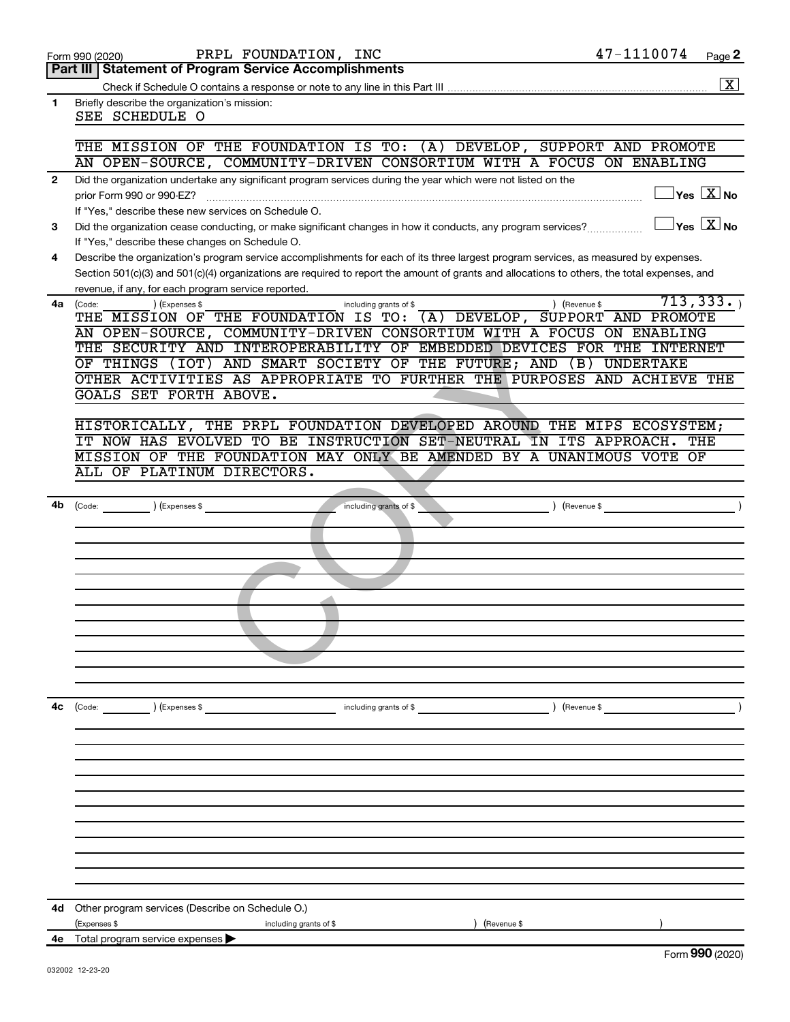| Form 990 (2020) |  |
|-----------------|--|
|-----------------|--|

**1**

| Part III   Statement of Program Service Accomplishments                       |
|-------------------------------------------------------------------------------|
| Check if Schedule O contains a response or note to any line in this Part III. |

 $\boxed{\text{X}}$ 

| Briefly describe the organization's mission: |  |
|----------------------------------------------|--|
| SEE SCHEDULE O                               |  |

#### THE MISSION OF THE FOUNDATION IS TO: (A) DEVELOP, SUPPORT AND PROMOTE AN OPEN-SOURCE, COMMUNITY-DRIVEN CONSORTIUM WITH A FOCUS ON ENABLING

| Did the organization undertake any significant program services during the year which were not listed on the |                            |
|--------------------------------------------------------------------------------------------------------------|----------------------------|
| prior Form 990 or 990-EZ?                                                                                    | $\sqrt{1 + \mathsf{Z}}$ No |
| If "Yes." describe these new services on Schedule O.                                                         |                            |

**3 No** Did the organization cease conducting, or make significant changes in how it conducts, any program services?  $\ldots$ If "Yes," describe these changes on Schedule O.

**4** Describe the organization's program service accomplishments for each of its three largest program services, as measured by expenses. Section 501(c)(3) and 501(c)(4) organizations are required to report the amount of grants and allocations to others, the total expenses, and revenue, if any, for each program service reported.

| 4a | (Code: |                                                                         | ) (Expenses \$ |                                      |  | including grants of \$ |  | Revenue \$ | 713,333                                               |  |
|----|--------|-------------------------------------------------------------------------|----------------|--------------------------------------|--|------------------------|--|------------|-------------------------------------------------------|--|
|    |        | THE MISSION OF                                                          |                | THE FOUNDATION IS TO:                |  |                        |  |            | $(A)$ DEVELOP, SUPPORT AND PROMOTE                    |  |
|    |        | AN OPEN-SOURCE, COMMUNITY-DRIVEN CONSORTIUM WITH A FOCUS ON ENABLING    |                |                                      |  |                        |  |            |                                                       |  |
|    |        | THE SECURITY AND                                                        |                |                                      |  |                        |  |            | INTEROPERABILITY OF EMBEDDED DEVICES FOR THE INTERNET |  |
|    |        | OF THINGS (IOT)                                                         |                | AND SMART SOCIETY OF THE FUTURE; AND |  |                        |  | (B)        | <b>UNDERTAKE</b>                                      |  |
|    |        | OTHER ACTIVITIES AS APPROPRIATE TO FURTHER THE PURPOSES AND ACHIEVE THE |                |                                      |  |                        |  |            |                                                       |  |
|    |        | GOALS SET FORTH ABOVE.                                                  |                |                                      |  |                        |  |            |                                                       |  |

|    | AN OPEN-SOURCE, COMMONITI-DRIVEN CONSORTIUM WITH A FOCUS ON ENABLING    |
|----|-------------------------------------------------------------------------|
|    | THE SECURITY AND INTEROPERABILITY OF EMBEDDED DEVICES FOR THE INTERNET  |
|    | OF THINGS (IOT) AND SMART SOCIETY OF THE FUTURE; AND (B) UNDERTAKE      |
|    | OTHER ACTIVITIES AS APPROPRIATE TO FURTHER THE PURPOSES AND ACHIEVE THE |
|    | GOALS SET FORTH ABOVE.                                                  |
|    |                                                                         |
|    | HISTORICALLY, THE PRPL FOUNDATION DEVELOPED AROUND THE MIPS ECOSYSTEM;  |
|    | IT NOW HAS EVOLVED TO BE INSTRUCTION SET-NEUTRAL IN ITS APPROACH. THE   |
|    | MISSION OF THE FOUNDATION MAY ONLY BE AMENDED BY A UNANIMOUS VOTE OF    |
|    | ALL OF PLATINUM DIRECTORS.                                              |
|    |                                                                         |
|    | 4b (Code: ) (Expenses \$<br>$\rightarrow$                               |
|    |                                                                         |
|    |                                                                         |
|    |                                                                         |
|    |                                                                         |
|    |                                                                         |
|    |                                                                         |
|    |                                                                         |
|    |                                                                         |
|    |                                                                         |
|    |                                                                         |
|    |                                                                         |
|    |                                                                         |
| 4с | (Code: ) (Expenses \$ including grants of \$ ) (Revenue \$ )            |
|    |                                                                         |
|    |                                                                         |
|    |                                                                         |
|    |                                                                         |
|    |                                                                         |
|    |                                                                         |
|    |                                                                         |
|    |                                                                         |
|    |                                                                         |
|    |                                                                         |
|    |                                                                         |
|    | 4d Other program services (Describe on Schedule O.)                     |
|    | (Expenses \$<br>including grants of \$<br>) (Revenue \$                 |
|    | 4e Total program service expenses >                                     |
|    |                                                                         |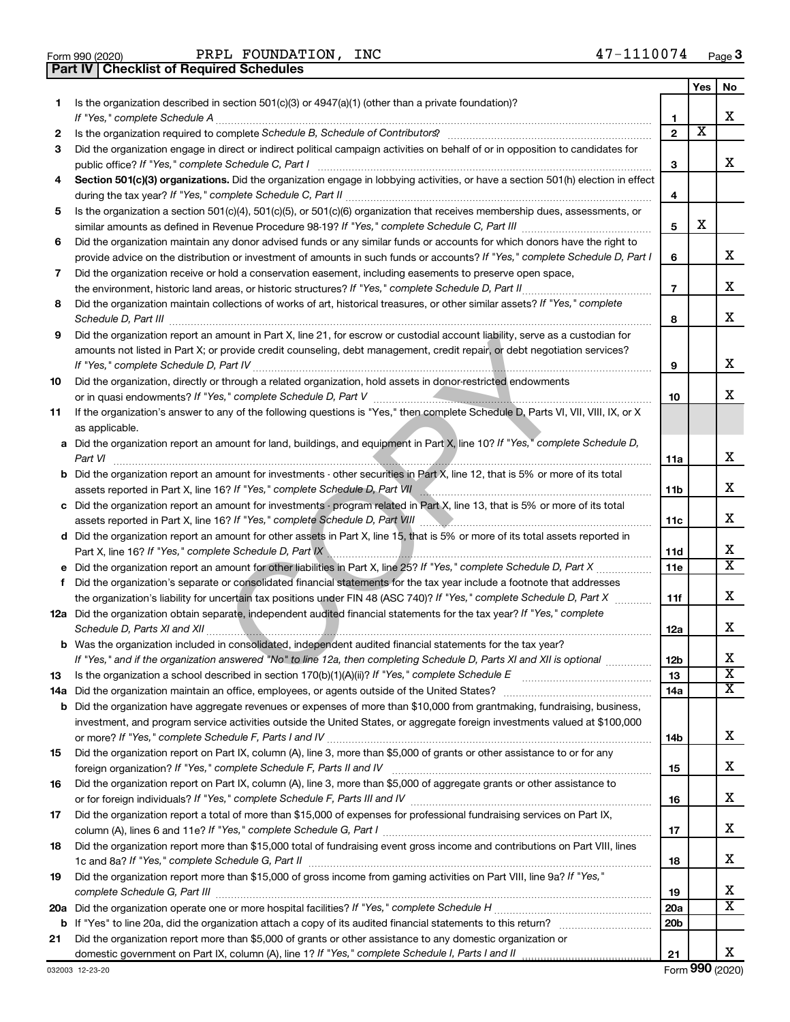| Form 990 (2020) |
|-----------------|
|                 |

**Part IV Checklist of Required Schedules**

PRPL FOUNDATION, INC 47-1110074

| 1. | Is the organization described in section 501(c)(3) or 4947(a)(1) (other than a private foundation)?                                                                                                                                         |                 | Yes | No.                   |
|----|---------------------------------------------------------------------------------------------------------------------------------------------------------------------------------------------------------------------------------------------|-----------------|-----|-----------------------|
|    |                                                                                                                                                                                                                                             | 1               |     | х                     |
| 2  |                                                                                                                                                                                                                                             | $\overline{2}$  | X   |                       |
| 3  | Did the organization engage in direct or indirect political campaign activities on behalf of or in opposition to candidates for                                                                                                             |                 |     |                       |
|    |                                                                                                                                                                                                                                             | 3               |     | X                     |
| 4  | Section 501(c)(3) organizations. Did the organization engage in lobbying activities, or have a section 501(h) election in effect                                                                                                            |                 |     |                       |
|    |                                                                                                                                                                                                                                             | 4               |     |                       |
| 5  | Is the organization a section 501(c)(4), 501(c)(5), or 501(c)(6) organization that receives membership dues, assessments, or                                                                                                                |                 |     |                       |
|    |                                                                                                                                                                                                                                             | 5               | X   |                       |
| 6  | Did the organization maintain any donor advised funds or any similar funds or accounts for which donors have the right to                                                                                                                   |                 |     |                       |
|    | provide advice on the distribution or investment of amounts in such funds or accounts? If "Yes," complete Schedule D, Part I                                                                                                                | 6               |     | x                     |
| 7  | Did the organization receive or hold a conservation easement, including easements to preserve open space,                                                                                                                                   |                 |     |                       |
|    |                                                                                                                                                                                                                                             | $\overline{7}$  |     | x                     |
| 8  | Did the organization maintain collections of works of art, historical treasures, or other similar assets? If "Yes," complete                                                                                                                |                 |     |                       |
|    | Schedule D, Part III <b>Marting Communities</b> and the contract of the contract of the contract of the contract of the contract of the contract of the contract of the contract of the contract of the contract of the contract of         | 8               |     | x                     |
| 9  | Did the organization report an amount in Part X, line 21, for escrow or custodial account liability, serve as a custodian for                                                                                                               |                 |     |                       |
|    | amounts not listed in Part X; or provide credit counseling, debt management, credit repair, or debt negotiation services?                                                                                                                   |                 |     |                       |
|    |                                                                                                                                                                                                                                             | 9               |     | x                     |
| 10 | Did the organization, directly or through a related organization, hold assets in donor-restricted endowments                                                                                                                                |                 |     |                       |
|    |                                                                                                                                                                                                                                             | 10              |     | x                     |
| 11 | If the organization's answer to any of the following questions is "Yes," then complete Schedule D, Parts VI, VII, VIII, IX, or X                                                                                                            |                 |     |                       |
|    | as applicable.                                                                                                                                                                                                                              |                 |     |                       |
|    | a Did the organization report an amount for land, buildings, and equipment in Part X, line 10? If "Yes," complete Schedule D,                                                                                                               |                 |     |                       |
|    | Part VI                                                                                                                                                                                                                                     | 11a             |     | x                     |
|    | <b>b</b> Did the organization report an amount for investments - other securities in Part X, line 12, that is 5% or more of its total                                                                                                       |                 |     |                       |
|    |                                                                                                                                                                                                                                             | 11b             |     | х                     |
|    | c Did the organization report an amount for investments - program related in Part X, line 13, that is 5% or more of its total                                                                                                               |                 |     |                       |
|    |                                                                                                                                                                                                                                             | 11c             |     | x                     |
|    | d Did the organization report an amount for other assets in Part X, line 15, that is 5% or more of its total assets reported in                                                                                                             |                 |     |                       |
|    | Part X, line 16? If "Yes," complete Schedule D, Part IX \\minimum \minimum \minimum \minimum \minimum \minimum                                                                                                                              | 11d             |     | х                     |
|    |                                                                                                                                                                                                                                             | 11e             |     | X                     |
| f  | Did the organization's separate or consolidated financial statements for the tax year include a footnote that addresses                                                                                                                     |                 |     |                       |
|    | the organization's liability for uncertain tax positions under FIN 48 (ASC 740)? If "Yes," complete Schedule D, Part X                                                                                                                      | 11f             |     | x                     |
|    | 12a Did the organization obtain separate, independent audited financial statements for the tax year? If "Yes," complete                                                                                                                     |                 |     | х                     |
|    |                                                                                                                                                                                                                                             | 12a             |     |                       |
|    | <b>b</b> Was the organization included in consolidated, independent audited financial statements for the tax year?<br>If "Yes," and if the organization answered "No" to line 12a, then completing Schedule D, Parts XI and XII is optional | 12b             |     | X                     |
| 13 |                                                                                                                                                                                                                                             | 13              |     | $\overline{\text{x}}$ |
|    |                                                                                                                                                                                                                                             | 14a             |     | х                     |
|    | <b>b</b> Did the organization have aggregate revenues or expenses of more than \$10,000 from grantmaking, fundraising, business,                                                                                                            |                 |     |                       |
|    | investment, and program service activities outside the United States, or aggregate foreign investments valued at \$100,000                                                                                                                  |                 |     |                       |
|    |                                                                                                                                                                                                                                             | 14b             |     | х                     |
| 15 | Did the organization report on Part IX, column (A), line 3, more than \$5,000 of grants or other assistance to or for any                                                                                                                   |                 |     |                       |
|    |                                                                                                                                                                                                                                             | 15              |     | X                     |
| 16 | Did the organization report on Part IX, column (A), line 3, more than \$5,000 of aggregate grants or other assistance to                                                                                                                    |                 |     |                       |
|    |                                                                                                                                                                                                                                             | 16              |     | х                     |
| 17 | Did the organization report a total of more than \$15,000 of expenses for professional fundraising services on Part IX,                                                                                                                     |                 |     |                       |
|    |                                                                                                                                                                                                                                             | 17              |     | х                     |
| 18 | Did the organization report more than \$15,000 total of fundraising event gross income and contributions on Part VIII, lines                                                                                                                |                 |     |                       |
|    |                                                                                                                                                                                                                                             | 18              |     | X                     |
| 19 | Did the organization report more than \$15,000 of gross income from gaming activities on Part VIII, line 9a? If "Yes,"                                                                                                                      |                 |     |                       |
|    |                                                                                                                                                                                                                                             | 19              |     | х                     |
|    |                                                                                                                                                                                                                                             | 20a             |     | X                     |
|    |                                                                                                                                                                                                                                             | 20 <sub>b</sub> |     |                       |
| 21 | Did the organization report more than \$5,000 of grants or other assistance to any domestic organization or                                                                                                                                 |                 |     |                       |
|    |                                                                                                                                                                                                                                             | 21              |     | X                     |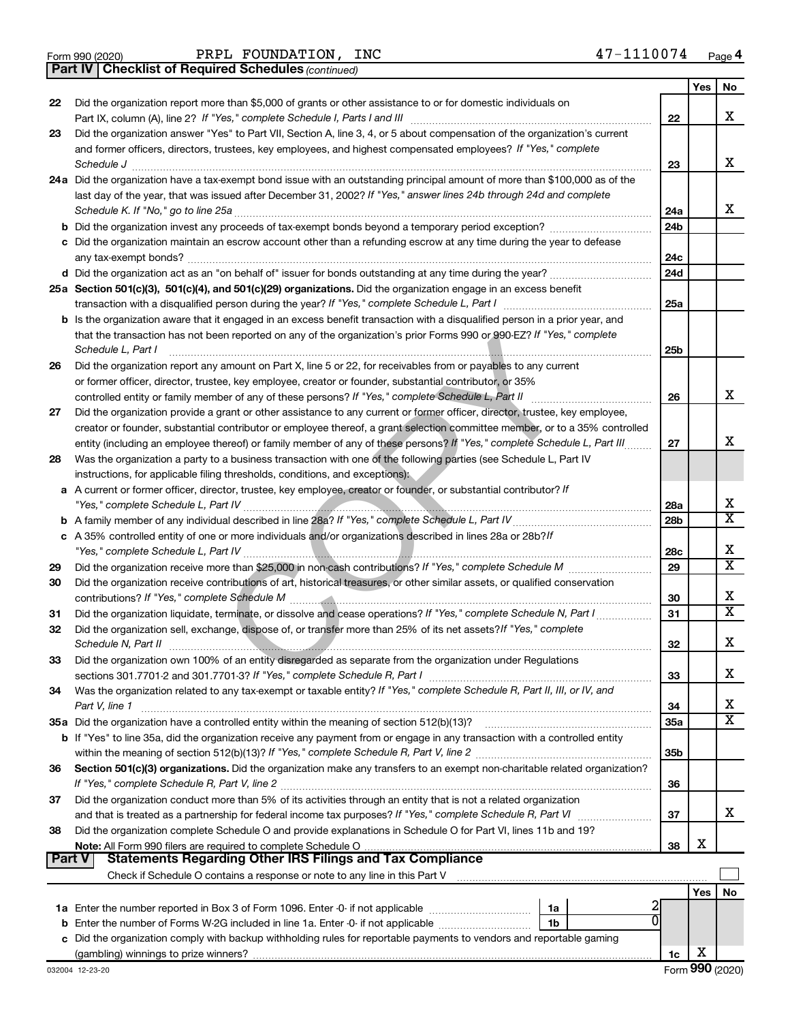|  | Form 990 (2020) |
|--|-----------------|
|  |                 |

Form 990 (2020) Page PRPL FOUNDATION, INC 47-1110074

*(continued)* **Part IV Checklist of Required Schedules**

|        | <b>Part IV   Checklist of Required Schedules (continued)</b>                                                                                                    |                 |     |                         |
|--------|-----------------------------------------------------------------------------------------------------------------------------------------------------------------|-----------------|-----|-------------------------|
|        |                                                                                                                                                                 |                 | Yes | No                      |
| 22     | Did the organization report more than \$5,000 of grants or other assistance to or for domestic individuals on                                                   |                 |     |                         |
|        |                                                                                                                                                                 | 22              |     | x                       |
| 23     | Did the organization answer "Yes" to Part VII, Section A, line 3, 4, or 5 about compensation of the organization's current                                      |                 |     |                         |
|        | and former officers, directors, trustees, key employees, and highest compensated employees? If "Yes," complete                                                  |                 |     |                         |
|        | Schedule J <b>www.communications.communications.communications.com</b>                                                                                          | 23              |     | x                       |
|        | 24a Did the organization have a tax-exempt bond issue with an outstanding principal amount of more than \$100,000 as of the                                     |                 |     |                         |
|        | last day of the year, that was issued after December 31, 2002? If "Yes," answer lines 24b through 24d and complete                                              |                 |     |                         |
|        | Schedule K. If "No," go to line 25a                                                                                                                             | 24a             |     | x                       |
|        | <b>b</b> Did the organization invest any proceeds of tax-exempt bonds beyond a temporary period exception?                                                      | 24 <sub>b</sub> |     |                         |
|        | c Did the organization maintain an escrow account other than a refunding escrow at any time during the year to defease                                          |                 |     |                         |
|        |                                                                                                                                                                 | 24c             |     |                         |
|        |                                                                                                                                                                 | 24d             |     |                         |
|        | 25a Section 501(c)(3), 501(c)(4), and 501(c)(29) organizations. Did the organization engage in an excess benefit                                                |                 |     |                         |
|        |                                                                                                                                                                 | 25a             |     |                         |
|        | <b>b</b> Is the organization aware that it engaged in an excess benefit transaction with a disqualified person in a prior year, and                             |                 |     |                         |
|        | that the transaction has not been reported on any of the organization's prior Forms 990 or 990-EZ? If "Yes," complete                                           |                 |     |                         |
|        | Schedule L, Part I                                                                                                                                              | 25 <sub>b</sub> |     |                         |
| 26     | Did the organization report any amount on Part X, line 5 or 22, for receivables from or payables to any current                                                 |                 |     |                         |
|        | or former officer, director, trustee, key employee, creator or founder, substantial contributor, or 35%                                                         |                 |     |                         |
|        | controlled entity or family member of any of these persons? If "Yes," complete Schedule L, Part II                                                              | 26              |     | x                       |
| 27     | Did the organization provide a grant or other assistance to any current or former officer, director, trustee, key employee,                                     |                 |     |                         |
|        | creator or founder, substantial contributor or employee thereof, a grant selection committee member, or to a 35% controlled                                     |                 |     |                         |
|        | entity (including an employee thereof) or family member of any of these persons? If "Yes," complete Schedule L, Part III                                        | 27              |     | х                       |
| 28     | Was the organization a party to a business transaction with one of the following parties (see Schedule L, Part IV                                               |                 |     |                         |
|        | instructions, for applicable filing thresholds, conditions, and exceptions):                                                                                    |                 |     |                         |
|        | a A current or former officer, director, trustee, key employee, creator or founder, or substantial contributor? If                                              |                 |     |                         |
|        |                                                                                                                                                                 | 28a             |     | x                       |
|        |                                                                                                                                                                 | 28 <sub>b</sub> |     | $\overline{\mathtt{x}}$ |
|        | c A 35% controlled entity of one or more individuals and/or organizations described in lines 28a or 28b?/f                                                      |                 |     |                         |
|        |                                                                                                                                                                 | 28c             |     | х                       |
| 29     |                                                                                                                                                                 | 29              |     | $\overline{\texttt{x}}$ |
| 30     | Did the organization receive contributions of art, historical treasures, or other similar assets, or qualified conservation                                     |                 |     |                         |
|        |                                                                                                                                                                 | 30              |     | x                       |
|        |                                                                                                                                                                 | 31              |     | $\overline{\texttt{x}}$ |
| 31     |                                                                                                                                                                 |                 |     |                         |
| 32     | Did the organization sell, exchange, dispose of, or transfer more than 25% of its net assets? If "Yes," complete                                                | 32              |     | Χ                       |
|        | Schedule N, Part II <u>www.communications.communications.com</u>                                                                                                |                 |     |                         |
| 33     | Did the organization own 100% of an entity disregarded as separate from the organization under Regulations                                                      | 33              |     | x                       |
|        |                                                                                                                                                                 |                 |     |                         |
| 34     | Was the organization related to any tax-exempt or taxable entity? If "Yes," complete Schedule R, Part II, III, or IV, and                                       |                 |     | х                       |
|        | Part V, line 1                                                                                                                                                  | 34              |     | $\overline{\texttt{x}}$ |
|        |                                                                                                                                                                 | 35a             |     |                         |
|        | b If "Yes" to line 35a, did the organization receive any payment from or engage in any transaction with a controlled entity                                     | 35 <sub>b</sub> |     |                         |
|        |                                                                                                                                                                 |                 |     |                         |
| 36     | Section 501(c)(3) organizations. Did the organization make any transfers to an exempt non-charitable related organization?                                      |                 |     |                         |
|        | Did the organization conduct more than 5% of its activities through an entity that is not a related organization                                                | 36              |     |                         |
| 37     |                                                                                                                                                                 |                 |     | x                       |
|        |                                                                                                                                                                 | 37              |     |                         |
| 38     | Did the organization complete Schedule O and provide explanations in Schedule O for Part VI, lines 11b and 19?                                                  |                 | х   |                         |
| Part V | <b>Statements Regarding Other IRS Filings and Tax Compliance</b>                                                                                                | 38              |     |                         |
|        |                                                                                                                                                                 |                 |     |                         |
|        | Check if Schedule O contains a response or note to any line in this Part V [11] [12] Check if Schedule O contains a response or note to any line in this Part V |                 |     |                         |
|        |                                                                                                                                                                 |                 | Yes | No                      |
|        | 1a                                                                                                                                                              |                 |     |                         |
|        | <b>b</b> Enter the number of Forms W-2G included in line 1a. Enter -0- if not applicable<br>1 <sub>b</sub>                                                      |                 |     |                         |
|        | c Did the organization comply with backup withholding rules for reportable payments to vendors and reportable gaming                                            |                 |     |                         |
|        |                                                                                                                                                                 | 1c              | х   |                         |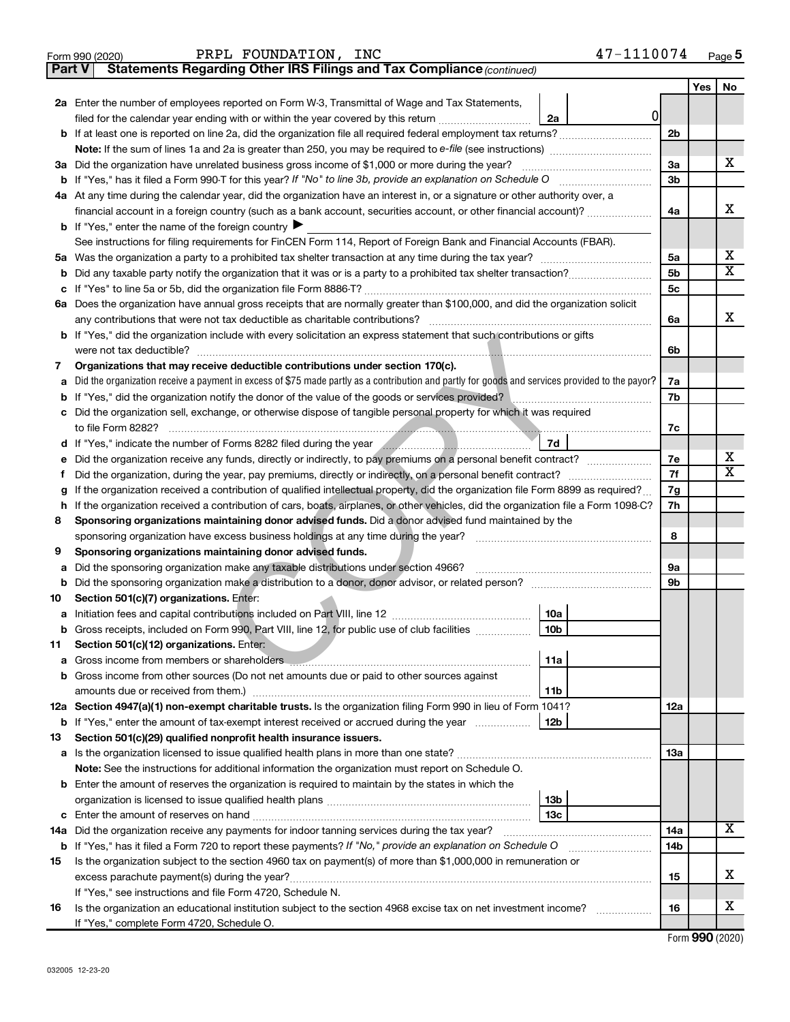|               | 47-1110074<br>PRPL FOUNDATION, INC<br>Form 990 (2020)                                                                                                                                                                                      |                |     | Page 5                  |
|---------------|--------------------------------------------------------------------------------------------------------------------------------------------------------------------------------------------------------------------------------------------|----------------|-----|-------------------------|
| <b>Part V</b> | Statements Regarding Other IRS Filings and Tax Compliance (continued)                                                                                                                                                                      |                |     |                         |
|               |                                                                                                                                                                                                                                            |                | Yes | No                      |
|               | 2a Enter the number of employees reported on Form W-3, Transmittal of Wage and Tax Statements,<br>0                                                                                                                                        |                |     |                         |
|               | filed for the calendar year ending with or within the year covered by this return <i>[[[[[[[[[[[[[]]]</i> ]]<br>2a                                                                                                                         |                |     |                         |
|               |                                                                                                                                                                                                                                            | 2 <sub>b</sub> |     |                         |
|               | <b>Note:</b> If the sum of lines 1a and 2a is greater than 250, you may be required to e-file (see instructions) <i>managererous</i>                                                                                                       |                |     |                         |
|               | 3a Did the organization have unrelated business gross income of \$1,000 or more during the year?                                                                                                                                           | 3a             |     | х                       |
|               | <b>b</b> If "Yes," has it filed a Form 990-T for this year? If "No" to line 3b, provide an explanation on Schedule O                                                                                                                       | 3b             |     |                         |
|               | 4a At any time during the calendar year, did the organization have an interest in, or a signature or other authority over, a                                                                                                               |                |     | x                       |
|               | financial account in a foreign country (such as a bank account, securities account, or other financial account)?<br><b>b</b> If "Yes," enter the name of the foreign country $\triangleright$                                              | 4a             |     |                         |
|               | See instructions for filing requirements for FinCEN Form 114, Report of Foreign Bank and Financial Accounts (FBAR).                                                                                                                        |                |     |                         |
|               |                                                                                                                                                                                                                                            | 5a             |     | x                       |
| b             |                                                                                                                                                                                                                                            | 5 <sub>b</sub> |     | $\overline{\mathbf{X}}$ |
| c             |                                                                                                                                                                                                                                            | 5c             |     |                         |
|               | 6a Does the organization have annual gross receipts that are normally greater than \$100,000, and did the organization solicit                                                                                                             |                |     |                         |
|               | any contributions that were not tax deductible as charitable contributions?                                                                                                                                                                | 6a             |     | x.                      |
|               | <b>b</b> If "Yes," did the organization include with every solicitation an express statement that such contributions or gifts                                                                                                              |                |     |                         |
|               | were not tax deductible?                                                                                                                                                                                                                   | 6b             |     |                         |
| 7             | Organizations that may receive deductible contributions under section 170(c).                                                                                                                                                              |                |     |                         |
| a             | Did the organization receive a payment in excess of \$75 made partly as a contribution and partly for goods and services provided to the payor?                                                                                            | 7a             |     |                         |
| b             | If "Yes," did the organization notify the donor of the value of the goods or services provided?                                                                                                                                            | 7b             |     |                         |
| с             | Did the organization sell, exchange, or otherwise dispose of tangible personal property for which it was required                                                                                                                          |                |     |                         |
|               | to file Form 8282?                                                                                                                                                                                                                         | 7c             |     |                         |
| d             | 7d<br>If "Yes," indicate the number of Forms 8282 filed during the year manufactured in the way and the way and the way and the way and the way and the way and the way and the way and the way and the way and the way and the way        |                |     |                         |
| е             | Did the organization receive any funds, directly or indirectly, to pay premiums on a personal benefit contract?                                                                                                                            | 7е             |     | x                       |
| Ť.            | Did the organization, during the year, pay premiums, directly or indirectly, on a personal benefit contract?                                                                                                                               | 7f             |     | $\overline{\mathtt{x}}$ |
| g             | If the organization received a contribution of qualified intellectual property, did the organization file Form 8899 as required?                                                                                                           | 7g             |     |                         |
| h             | If the organization received a contribution of cars, boats, airplanes, or other vehicles, did the organization file a Form 1098-C?                                                                                                         | 7h             |     |                         |
| 8             | Sponsoring organizations maintaining donor advised funds. Did a donor advised fund maintained by the                                                                                                                                       |                |     |                         |
|               | sponsoring organization have excess business holdings at any time during the year?                                                                                                                                                         | 8              |     |                         |
| 9             | Sponsoring organizations maintaining donor advised funds.                                                                                                                                                                                  |                |     |                         |
| a             |                                                                                                                                                                                                                                            | 9а             |     |                         |
| b             | Did the sponsoring organization make a distribution to a donor, donor advisor, or related person? [[[[[[[[[[[                                                                                                                              | 9b             |     |                         |
| 10            | Section 501(c)(7) organizations. Enter:                                                                                                                                                                                                    |                |     |                         |
| а             | 10a                                                                                                                                                                                                                                        |                |     |                         |
|               | <b>b</b> Gross receipts, included on Form 990, Part VIII, line 12, for public use of club facilities <i>manument</i> .<br>10b                                                                                                              |                |     |                         |
| 11            | Section 501(c)(12) organizations. Enter:                                                                                                                                                                                                   |                |     |                         |
| а             | Gross income from members or shareholders <b>contained and all contained and all contained and all contained and a</b><br>11a                                                                                                              |                |     |                         |
| b             | Gross income from other sources (Do not net amounts due or paid to other sources against<br>amounts due or received from them.)<br>11b                                                                                                     |                |     |                         |
|               | 12a Section 4947(a)(1) non-exempt charitable trusts. Is the organization filing Form 990 in lieu of Form 1041?                                                                                                                             | 12a            |     |                         |
|               | <b>b</b> If "Yes," enter the amount of tax-exempt interest received or accrued during the year<br>12 <sub>b</sub>                                                                                                                          |                |     |                         |
| 13            | Section 501(c)(29) qualified nonprofit health insurance issuers.                                                                                                                                                                           |                |     |                         |
|               |                                                                                                                                                                                                                                            | 13a            |     |                         |
|               | Note: See the instructions for additional information the organization must report on Schedule O.                                                                                                                                          |                |     |                         |
|               | <b>b</b> Enter the amount of reserves the organization is required to maintain by the states in which the                                                                                                                                  |                |     |                         |
|               | 13b                                                                                                                                                                                                                                        |                |     |                         |
| с             | 13с<br>Enter the amount of reserves on hand <i>[1000]</i> [2000] [2000] [2000] [2000] [2000] [2000] [2000] [2000] [2000] [2000] [2000] [2000] [2000] [2000] [2000] [2000] [2000] [2000] [2000] [2000] [2000] [2000] [2000] [2000] [2000] [ |                |     |                         |
| 14a           | Did the organization receive any payments for indoor tanning services during the tax year?                                                                                                                                                 | 14a            |     | X                       |
|               | b If "Yes," has it filed a Form 720 to report these payments? If "No," provide an explanation on Schedule O                                                                                                                                | 14b            |     |                         |
| 15            | Is the organization subject to the section 4960 tax on payment(s) of more than \$1,000,000 in remuneration or                                                                                                                              |                |     |                         |
|               |                                                                                                                                                                                                                                            | 15             |     | x                       |
|               | If "Yes," see instructions and file Form 4720, Schedule N.                                                                                                                                                                                 |                |     |                         |
| 16            | Is the organization an educational institution subject to the section 4968 excise tax on net investment income?                                                                                                                            | 16             |     | х                       |
|               | If "Yes," complete Form 4720, Schedule O.                                                                                                                                                                                                  |                |     |                         |

Form (2020) **990**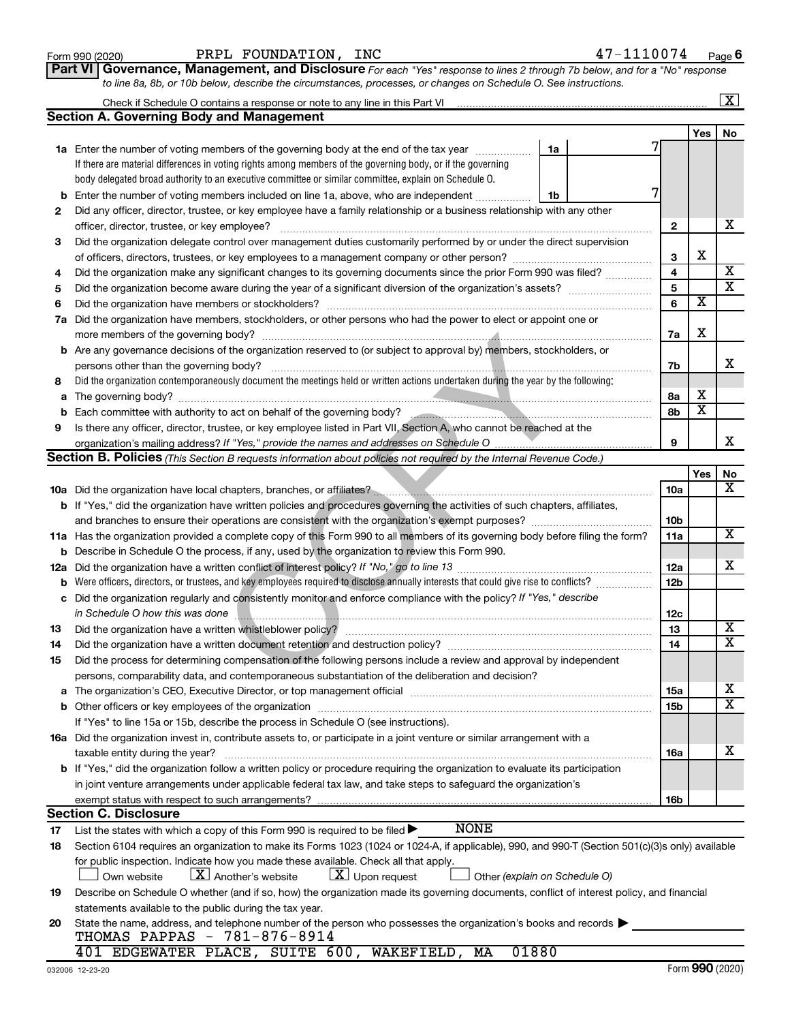| Form 990 (2020) |  |
|-----------------|--|
|-----------------|--|

| Part VI   Governance, Management, and Disclosure For each "Yes" response to lines 2 through 7b below, and for a "No" response |
|-------------------------------------------------------------------------------------------------------------------------------|
| to line 8a, 8b, or 10b below, describe the circumstances, processes, or changes on Schedule O. See instructions.              |

|     | X                                                                                                                                                                                                                              |  |                 |                         |                         |  |  |  |  |  |
|-----|--------------------------------------------------------------------------------------------------------------------------------------------------------------------------------------------------------------------------------|--|-----------------|-------------------------|-------------------------|--|--|--|--|--|
|     | Section A. Governing Body and Management                                                                                                                                                                                       |  |                 |                         |                         |  |  |  |  |  |
|     |                                                                                                                                                                                                                                |  |                 | Yes                     | No                      |  |  |  |  |  |
|     | 1a Enter the number of voting members of the governing body at the end of the tax year<br>1a                                                                                                                                   |  |                 |                         |                         |  |  |  |  |  |
|     | If there are material differences in voting rights among members of the governing body, or if the governing                                                                                                                    |  |                 |                         |                         |  |  |  |  |  |
|     | body delegated broad authority to an executive committee or similar committee, explain on Schedule O.                                                                                                                          |  |                 |                         |                         |  |  |  |  |  |
| b   | Enter the number of voting members included on line 1a, above, who are independent<br>1b                                                                                                                                       |  |                 |                         |                         |  |  |  |  |  |
| 2   | Did any officer, director, trustee, or key employee have a family relationship or a business relationship with any other                                                                                                       |  |                 |                         |                         |  |  |  |  |  |
|     | officer, director, trustee, or key employee?                                                                                                                                                                                   |  | $\mathbf{2}$    |                         | x                       |  |  |  |  |  |
| 3   | Did the organization delegate control over management duties customarily performed by or under the direct supervision                                                                                                          |  |                 |                         |                         |  |  |  |  |  |
|     |                                                                                                                                                                                                                                |  | 3               | х                       |                         |  |  |  |  |  |
| 4   | Did the organization make any significant changes to its governing documents since the prior Form 990 was filed?                                                                                                               |  | 4               |                         | X                       |  |  |  |  |  |
| 5   |                                                                                                                                                                                                                                |  | 5               |                         | $\overline{\mathtt{x}}$ |  |  |  |  |  |
| 6   | Did the organization have members or stockholders?                                                                                                                                                                             |  | 6               | $\overline{\textbf{x}}$ |                         |  |  |  |  |  |
| 7a  | Did the organization have members, stockholders, or other persons who had the power to elect or appoint one or                                                                                                                 |  |                 |                         |                         |  |  |  |  |  |
|     | more members of the governing body?                                                                                                                                                                                            |  | 7a              | х                       |                         |  |  |  |  |  |
|     | <b>b</b> Are any governance decisions of the organization reserved to (or subject to approval by) members, stockholders, or                                                                                                    |  |                 |                         |                         |  |  |  |  |  |
|     | persons other than the governing body?                                                                                                                                                                                         |  | 7b              |                         | x.                      |  |  |  |  |  |
| 8   | Did the organization contemporaneously document the meetings held or written actions undertaken during the year by the following:                                                                                              |  |                 |                         |                         |  |  |  |  |  |
| a   | The governing body?                                                                                                                                                                                                            |  | 8а              | х                       |                         |  |  |  |  |  |
| b   |                                                                                                                                                                                                                                |  | 8b              | $\overline{\textbf{x}}$ |                         |  |  |  |  |  |
| 9   | Is there any officer, director, trustee, or key employee listed in Part VII, Section A, who cannot be reached at the                                                                                                           |  |                 |                         |                         |  |  |  |  |  |
|     |                                                                                                                                                                                                                                |  | 9               |                         | x                       |  |  |  |  |  |
|     | <b>Section B. Policies</b> (This Section B requests information about policies not required by the Internal Revenue Code.)                                                                                                     |  |                 |                         |                         |  |  |  |  |  |
|     |                                                                                                                                                                                                                                |  |                 | Yes                     | No                      |  |  |  |  |  |
|     | 10a Did the organization have local chapters, branches, or affiliates?                                                                                                                                                         |  | 10a             |                         | $\overline{\mathbf{X}}$ |  |  |  |  |  |
|     | b If "Yes," did the organization have written policies and procedures governing the activities of such chapters, affiliates,                                                                                                   |  |                 |                         |                         |  |  |  |  |  |
|     |                                                                                                                                                                                                                                |  | 10 <sub>b</sub> |                         |                         |  |  |  |  |  |
|     | 11a Has the organization provided a complete copy of this Form 990 to all members of its governing body before filing the form?                                                                                                |  | 11a             |                         | $\overline{\mathbf{X}}$ |  |  |  |  |  |
|     | <b>b</b> Describe in Schedule O the process, if any, used by the organization to review this Form 990.                                                                                                                         |  |                 |                         |                         |  |  |  |  |  |
| 12a |                                                                                                                                                                                                                                |  | 12a             |                         | x                       |  |  |  |  |  |
| b   | Were officers, directors, or trustees, and key employees required to disclose annually interests that could give rise to conflicts?                                                                                            |  | 12 <sub>b</sub> |                         |                         |  |  |  |  |  |
| с   | Did the organization regularly and consistently monitor and enforce compliance with the policy? If "Yes," describe                                                                                                             |  |                 |                         |                         |  |  |  |  |  |
|     | in Schedule O how this was done                                                                                                                                                                                                |  | 12c             |                         |                         |  |  |  |  |  |
| 13  | Did the organization have a written whistleblower policy?                                                                                                                                                                      |  | 13              |                         | X                       |  |  |  |  |  |
| 14  |                                                                                                                                                                                                                                |  | 14              |                         | $\overline{\mathtt{x}}$ |  |  |  |  |  |
| 15  | Did the process for determining compensation of the following persons include a review and approval by independent                                                                                                             |  |                 |                         |                         |  |  |  |  |  |
|     | persons, comparability data, and contemporaneous substantiation of the deliberation and decision?                                                                                                                              |  |                 |                         |                         |  |  |  |  |  |
|     | The organization's CEO, Executive Director, or top management official manufactured content content of the organization's CEO, Executive Director, or top management official manufactured content of the original manufacture |  | 15a             |                         | х                       |  |  |  |  |  |
|     |                                                                                                                                                                                                                                |  | <b>15b</b>      |                         | $\overline{\mathtt{x}}$ |  |  |  |  |  |
|     | If "Yes" to line 15a or 15b, describe the process in Schedule O (see instructions).                                                                                                                                            |  |                 |                         |                         |  |  |  |  |  |
|     | 16a Did the organization invest in, contribute assets to, or participate in a joint venture or similar arrangement with a                                                                                                      |  |                 |                         |                         |  |  |  |  |  |
|     | taxable entity during the year?                                                                                                                                                                                                |  | 16a             |                         | х                       |  |  |  |  |  |
|     | b If "Yes," did the organization follow a written policy or procedure requiring the organization to evaluate its participation                                                                                                 |  |                 |                         |                         |  |  |  |  |  |
|     | in joint venture arrangements under applicable federal tax law, and take steps to safeguard the organization's                                                                                                                 |  |                 |                         |                         |  |  |  |  |  |
|     | exempt status with respect to such arrangements?                                                                                                                                                                               |  | 16b             |                         |                         |  |  |  |  |  |
|     | <b>Section C. Disclosure</b>                                                                                                                                                                                                   |  |                 |                         |                         |  |  |  |  |  |
| 17  | <b>NONE</b><br>List the states with which a copy of this Form 990 is required to be filed $\blacktriangleright$                                                                                                                |  |                 |                         |                         |  |  |  |  |  |
| 18  | Section 6104 requires an organization to make its Forms 1023 (1024 or 1024-A, if applicable), 990, and 990-T (Section 501(c)(3)s only) available                                                                               |  |                 |                         |                         |  |  |  |  |  |
|     | for public inspection. Indicate how you made these available. Check all that apply.                                                                                                                                            |  |                 |                         |                         |  |  |  |  |  |
|     | $\lfloor x \rfloor$ Upon request<br>$\lfloor \mathbf{X} \rfloor$ Another's website<br>Own website<br>Other (explain on Schedule O)                                                                                             |  |                 |                         |                         |  |  |  |  |  |
| 19  | Describe on Schedule O whether (and if so, how) the organization made its governing documents, conflict of interest policy, and financial                                                                                      |  |                 |                         |                         |  |  |  |  |  |
|     | statements available to the public during the tax year.                                                                                                                                                                        |  |                 |                         |                         |  |  |  |  |  |
| 20  | State the name, address, and telephone number of the person who possesses the organization's books and records<br>THOMAS PAPPAS - 781-876-8914                                                                                 |  |                 |                         |                         |  |  |  |  |  |
|     | 01880<br>401 EDGEWATER PLACE, SUITE 600, WAKEFIELD, MA                                                                                                                                                                         |  |                 |                         |                         |  |  |  |  |  |
|     |                                                                                                                                                                                                                                |  |                 |                         |                         |  |  |  |  |  |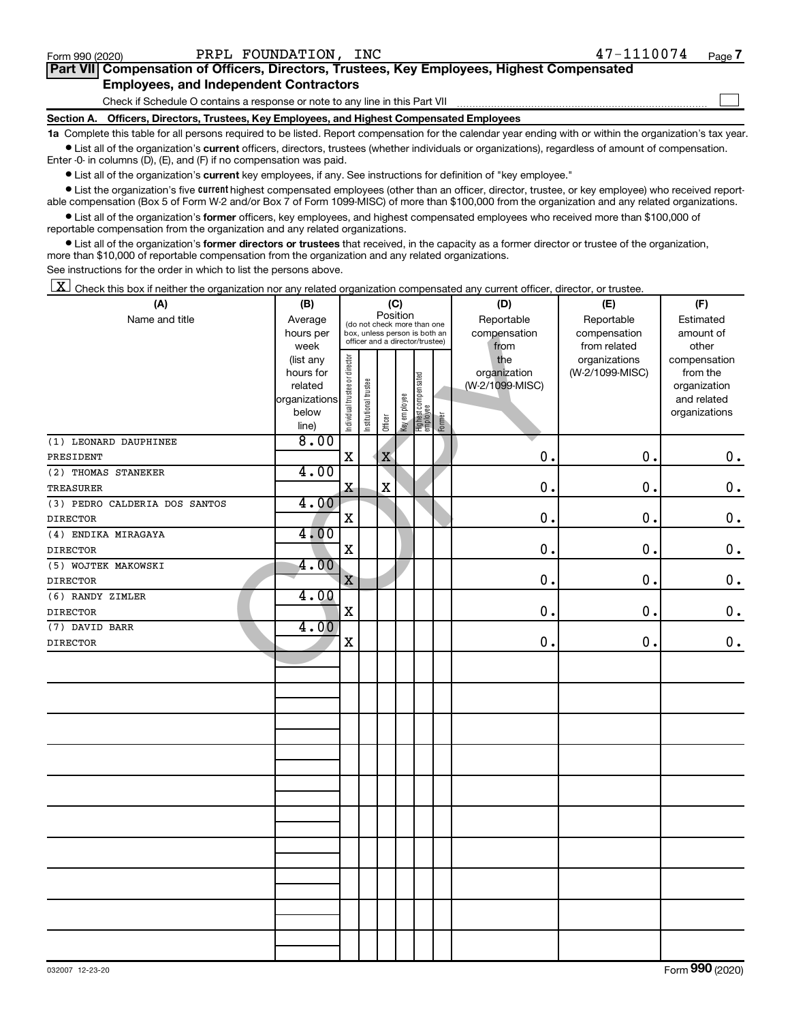$\Box$ 

| Part VII Compensation of Officers, Directors, Trustees, Key Employees, Highest Compensated |  |  |  |
|--------------------------------------------------------------------------------------------|--|--|--|
| <b>Employees, and Independent Contractors</b>                                              |  |  |  |

Check if Schedule O contains a response or note to any line in this Part VII

**Section A. Officers, Directors, Trustees, Key Employees, and Highest Compensated Employees**

**1a**  Complete this table for all persons required to be listed. Report compensation for the calendar year ending with or within the organization's tax year.  $\bullet$  List all of the organization's current officers, directors, trustees (whether individuals or organizations), regardless of amount of compensation.

Enter -0- in columns (D), (E), and (F) if no compensation was paid.

**•** List all of the organization's current key employees, if any. See instructions for definition of "key employee."

**•** List the organization's five *current* highest compensated employees (other than an officer, director, trustee, or key employee) who received reportable compensation (Box 5 of Form W-2 and/or Box 7 of Form 1099-MISC) of more than \$100,000 from the organization and any related organizations.

 $\bullet$  List all of the organization's former officers, key employees, and highest compensated employees who received more than \$100,000 of reportable compensation from the organization and any related organizations.

**•** List all of the organization's former directors or trustees that received, in the capacity as a former director or trustee of the organization, more than \$10,000 of reportable compensation from the organization and any related organizations.

See instructions for the order in which to list the persons above.

 $\boxed{\textbf{X}}$  Check this box if neither the organization nor any related organization compensated any current officer, director, or trustee.

| (A)                           | (B)           | (C)                            |                                                                                                 |             |              |                                   |              | (D)             | (E)             | (F)           |  |  |
|-------------------------------|---------------|--------------------------------|-------------------------------------------------------------------------------------------------|-------------|--------------|-----------------------------------|--------------|-----------------|-----------------|---------------|--|--|
| Name and title                | Average       |                                |                                                                                                 | Position    |              |                                   |              | Reportable      | Reportable      | Estimated     |  |  |
|                               | hours per     |                                | (do not check more than one<br>box, unless person is both an<br>officer and a director/trustee) |             |              |                                   |              | compensation    | compensation    | amount of     |  |  |
|                               | week          |                                |                                                                                                 |             |              | from                              | from related | other           |                 |               |  |  |
|                               | (list any     |                                |                                                                                                 |             |              |                                   |              | the             | organizations   | compensation  |  |  |
|                               | hours for     |                                |                                                                                                 |             |              |                                   |              | organization    | (W-2/1099-MISC) | from the      |  |  |
|                               | related       |                                |                                                                                                 |             |              |                                   |              | (W-2/1099-MISC) |                 | organization  |  |  |
|                               | organizations |                                |                                                                                                 |             |              |                                   |              |                 |                 | and related   |  |  |
|                               | below         | Individual trustee or director | Institutional trustee                                                                           | Officer     | Key employee | Highest compensated<br>  employee | Former       |                 |                 | organizations |  |  |
|                               | line)<br>8.00 |                                |                                                                                                 |             |              |                                   |              |                 |                 |               |  |  |
| (1) LEONARD DAUPHINEE         |               | $\mathbf X$                    |                                                                                                 |             |              |                                   |              | 0.              | 0.              |               |  |  |
| PRESIDENT                     |               |                                |                                                                                                 | $\mathbf X$ |              |                                   |              |                 |                 | $\mathbf 0$ . |  |  |
| (2) THOMAS STANEKER           | 4.00          |                                |                                                                                                 |             |              |                                   |              |                 |                 |               |  |  |
| <b>TREASURER</b>              |               | $\mathbf x$                    |                                                                                                 | $\mathbf X$ |              |                                   |              | 0.              | 0.              | $0$ .         |  |  |
| (3) PEDRO CALDERIA DOS SANTOS | 4.00          |                                |                                                                                                 |             |              |                                   |              |                 |                 |               |  |  |
| <b>DIRECTOR</b>               |               | $\mathbf X$                    |                                                                                                 |             |              |                                   |              | 0.              | $\mathbf 0$ .   | $\mathbf 0$ . |  |  |
| (4) ENDIKA MIRAGAYA           | 4.00          |                                |                                                                                                 |             |              |                                   |              |                 |                 |               |  |  |
| <b>DIRECTOR</b>               |               | $\mathbf X$                    |                                                                                                 |             |              |                                   |              | $\mathbf 0$ .   | 0.              | $\mathbf 0$ . |  |  |
| (5) WOJTEK MAKOWSKI           | 4.00          |                                |                                                                                                 |             |              |                                   |              |                 |                 |               |  |  |
| <b>DIRECTOR</b>               |               | $\mathbf X$                    |                                                                                                 |             |              |                                   |              | 0.              | 0.              | $0$ .         |  |  |
| (6) RANDY ZIMLER              | 4.00          |                                |                                                                                                 |             |              |                                   |              |                 |                 |               |  |  |
| <b>DIRECTOR</b>               |               | $\mathbf X$                    |                                                                                                 |             |              |                                   |              | $\mathbf 0$ .   | 0.              | $0$ .         |  |  |
| (7) DAVID BARR                | 4.00          |                                |                                                                                                 |             |              |                                   |              |                 |                 |               |  |  |
| <b>DIRECTOR</b>               |               | $\mathbf X$                    |                                                                                                 |             |              |                                   |              | $\mathbf 0$ .   | $\mathbf 0$ .   | $0$ .         |  |  |
|                               |               |                                |                                                                                                 |             |              |                                   |              |                 |                 |               |  |  |
|                               |               |                                |                                                                                                 |             |              |                                   |              |                 |                 |               |  |  |
|                               |               |                                |                                                                                                 |             |              |                                   |              |                 |                 |               |  |  |
|                               |               |                                |                                                                                                 |             |              |                                   |              |                 |                 |               |  |  |
|                               |               |                                |                                                                                                 |             |              |                                   |              |                 |                 |               |  |  |
|                               |               |                                |                                                                                                 |             |              |                                   |              |                 |                 |               |  |  |
|                               |               |                                |                                                                                                 |             |              |                                   |              |                 |                 |               |  |  |
|                               |               |                                |                                                                                                 |             |              |                                   |              |                 |                 |               |  |  |
|                               |               |                                |                                                                                                 |             |              |                                   |              |                 |                 |               |  |  |
|                               |               |                                |                                                                                                 |             |              |                                   |              |                 |                 |               |  |  |
|                               |               |                                |                                                                                                 |             |              |                                   |              |                 |                 |               |  |  |
|                               |               |                                |                                                                                                 |             |              |                                   |              |                 |                 |               |  |  |
|                               |               |                                |                                                                                                 |             |              |                                   |              |                 |                 |               |  |  |
|                               |               |                                |                                                                                                 |             |              |                                   |              |                 |                 |               |  |  |
|                               |               |                                |                                                                                                 |             |              |                                   |              |                 |                 |               |  |  |
|                               |               |                                |                                                                                                 |             |              |                                   |              |                 |                 |               |  |  |
|                               |               |                                |                                                                                                 |             |              |                                   |              |                 |                 |               |  |  |
|                               |               |                                |                                                                                                 |             |              |                                   |              |                 |                 |               |  |  |
|                               |               |                                |                                                                                                 |             |              |                                   |              |                 |                 |               |  |  |
|                               |               |                                |                                                                                                 |             |              |                                   |              |                 |                 |               |  |  |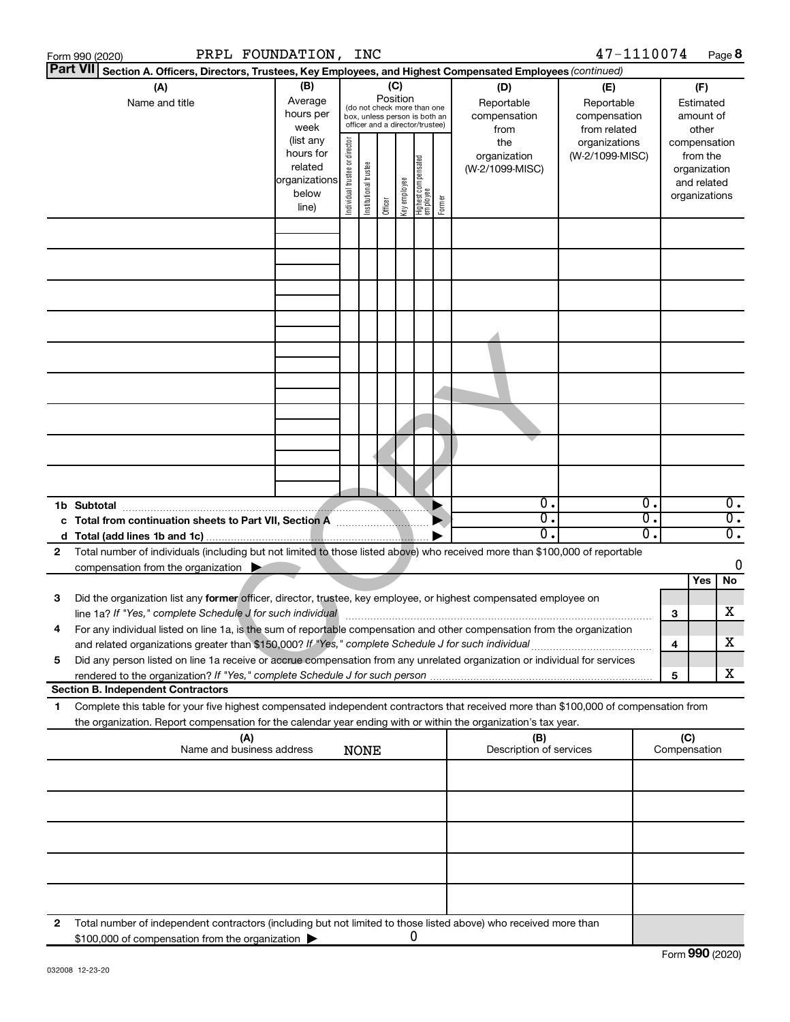|    | PRPL FOUNDATION,<br>Form 990 (2020)                                                                                                                                                                                                                    |                                                                      |                               | <b>INC</b>            |                 |              |                                                                                                 |        |                                           | 47-1110074                                        |                                      |                                         | Page 8                               |
|----|--------------------------------------------------------------------------------------------------------------------------------------------------------------------------------------------------------------------------------------------------------|----------------------------------------------------------------------|-------------------------------|-----------------------|-----------------|--------------|-------------------------------------------------------------------------------------------------|--------|-------------------------------------------|---------------------------------------------------|--------------------------------------|-----------------------------------------|--------------------------------------|
|    | <b>Part VII</b><br>Section A. Officers, Directors, Trustees, Key Employees, and Highest Compensated Employees (continued)                                                                                                                              |                                                                      |                               |                       |                 |              |                                                                                                 |        |                                           |                                                   |                                      |                                         |                                      |
|    | (A)<br>Name and title                                                                                                                                                                                                                                  | (B)<br>Average<br>hours per<br>week                                  |                               |                       | (C)<br>Position |              | (do not check more than one<br>box, unless person is both an<br>officer and a director/trustee) |        | (D)<br>Reportable<br>compensation<br>from | (E)<br>Reportable<br>compensation<br>from related |                                      | (F)<br>Estimated<br>amount of<br>other  |                                      |
|    |                                                                                                                                                                                                                                                        | (list any<br>hours for<br>related<br>organizations<br>below<br>line) | ndividual trustee or director | Institutional trustee | Officer         | Key employee | Highest compensated<br>  employee                                                               | Former | the<br>organization<br>(W-2/1099-MISC)    | organizations<br>(W-2/1099-MISC)                  |                                      | from the<br>organization<br>and related | compensation<br>organizations        |
|    |                                                                                                                                                                                                                                                        |                                                                      |                               |                       |                 |              |                                                                                                 |        |                                           |                                                   |                                      |                                         |                                      |
|    |                                                                                                                                                                                                                                                        |                                                                      |                               |                       |                 |              |                                                                                                 |        |                                           |                                                   |                                      |                                         |                                      |
|    |                                                                                                                                                                                                                                                        |                                                                      |                               |                       |                 |              |                                                                                                 |        |                                           |                                                   |                                      |                                         |                                      |
|    |                                                                                                                                                                                                                                                        |                                                                      |                               |                       |                 |              |                                                                                                 |        |                                           |                                                   |                                      |                                         |                                      |
|    |                                                                                                                                                                                                                                                        |                                                                      |                               |                       |                 |              |                                                                                                 |        |                                           |                                                   |                                      |                                         |                                      |
|    |                                                                                                                                                                                                                                                        |                                                                      |                               |                       |                 |              |                                                                                                 |        |                                           |                                                   |                                      |                                         |                                      |
|    |                                                                                                                                                                                                                                                        |                                                                      |                               |                       |                 |              |                                                                                                 |        |                                           |                                                   |                                      |                                         |                                      |
|    |                                                                                                                                                                                                                                                        |                                                                      |                               |                       |                 |              |                                                                                                 |        |                                           |                                                   |                                      |                                         |                                      |
|    | 1b Subtotal                                                                                                                                                                                                                                            |                                                                      |                               |                       |                 |              |                                                                                                 |        | $\overline{0}$ .                          |                                                   | $\overline{0}$ .                     |                                         | $\overline{0}$ .                     |
|    | c Total from continuation sheets to Part VII, Section A                                                                                                                                                                                                |                                                                      |                               |                       |                 |              |                                                                                                 |        | σ.<br>О.                                  |                                                   | $\overline{0}$ .<br>$\overline{0}$ . |                                         | $\overline{0}$ .<br>$\overline{0}$ . |
| 2  | Total number of individuals (including but not limited to those listed above) who received more than \$100,000 of reportable                                                                                                                           |                                                                      |                               |                       |                 |              |                                                                                                 |        |                                           |                                                   |                                      |                                         |                                      |
|    | compensation from the organization $\blacktriangleright$                                                                                                                                                                                               |                                                                      |                               |                       |                 |              |                                                                                                 |        |                                           |                                                   |                                      |                                         | 0                                    |
|    |                                                                                                                                                                                                                                                        |                                                                      |                               |                       |                 |              |                                                                                                 |        |                                           |                                                   |                                      | Yes                                     | No                                   |
| 3  | Did the organization list any former officer, director, trustee, key employee, or highest compensated employee on<br>line 1a? If "Yes," complete Schedule J for such individual                                                                        |                                                                      |                               |                       |                 |              |                                                                                                 |        |                                           |                                                   |                                      | З                                       | х                                    |
|    | For any individual listed on line 1a, is the sum of reportable compensation and other compensation from the organization<br>and related organizations greater than \$150,000? If "Yes," complete Schedule J for such individual                        |                                                                      |                               |                       |                 |              |                                                                                                 |        |                                           |                                                   |                                      | 4                                       | х                                    |
| 5  | Did any person listed on line 1a receive or accrue compensation from any unrelated organization or individual for services                                                                                                                             |                                                                      |                               |                       |                 |              |                                                                                                 |        |                                           |                                                   |                                      | 5                                       | x                                    |
|    | <b>Section B. Independent Contractors</b>                                                                                                                                                                                                              |                                                                      |                               |                       |                 |              |                                                                                                 |        |                                           |                                                   |                                      |                                         |                                      |
| 1. | Complete this table for your five highest compensated independent contractors that received more than \$100,000 of compensation from<br>the organization. Report compensation for the calendar year ending with or within the organization's tax year. |                                                                      |                               |                       |                 |              |                                                                                                 |        |                                           |                                                   |                                      |                                         |                                      |
|    | (A)<br>Name and business address                                                                                                                                                                                                                       |                                                                      |                               | <b>NONE</b>           |                 |              |                                                                                                 |        | (B)<br>Description of services            |                                                   |                                      | (C)<br>Compensation                     |                                      |
|    |                                                                                                                                                                                                                                                        |                                                                      |                               |                       |                 |              |                                                                                                 |        |                                           |                                                   |                                      |                                         |                                      |
|    |                                                                                                                                                                                                                                                        |                                                                      |                               |                       |                 |              |                                                                                                 |        |                                           |                                                   |                                      |                                         |                                      |
|    |                                                                                                                                                                                                                                                        |                                                                      |                               |                       |                 |              |                                                                                                 |        |                                           |                                                   |                                      |                                         |                                      |
|    |                                                                                                                                                                                                                                                        |                                                                      |                               |                       |                 |              |                                                                                                 |        |                                           |                                                   |                                      |                                         |                                      |
| 2  | Total number of independent contractors (including but not limited to those listed above) who received more than<br>\$100,000 of compensation from the organization                                                                                    |                                                                      |                               |                       |                 |              | 0                                                                                               |        |                                           |                                                   |                                      |                                         |                                      |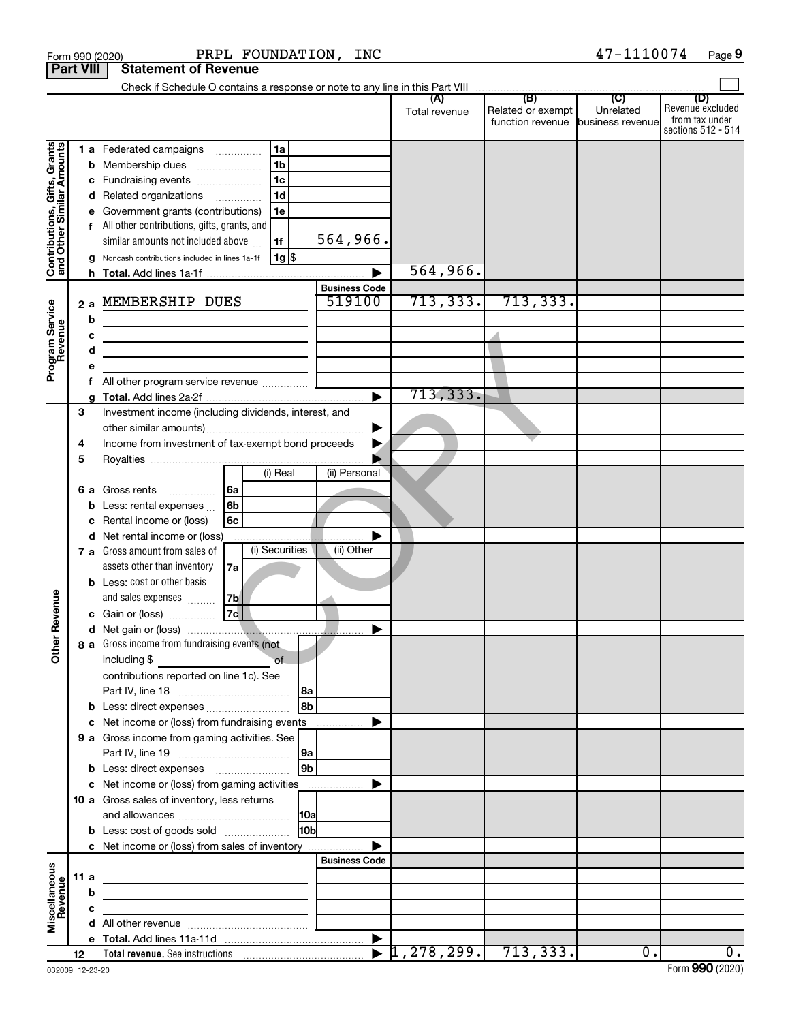|                                                           |                  |    | PRPL FOUNDATION, INC<br>Form 990 (2020)                                                                                                                  |                      |               |                   | 47-1110074                                     | Page 9                                                          |
|-----------------------------------------------------------|------------------|----|----------------------------------------------------------------------------------------------------------------------------------------------------------|----------------------|---------------|-------------------|------------------------------------------------|-----------------------------------------------------------------|
|                                                           | <b>Part VIII</b> |    | <b>Statement of Revenue</b>                                                                                                                              |                      |               |                   |                                                |                                                                 |
|                                                           |                  |    |                                                                                                                                                          |                      |               |                   |                                                |                                                                 |
|                                                           |                  |    |                                                                                                                                                          |                      | Total revenue | Related or exempt | Unrelated<br>function revenue business revenue | (D)<br>Revenue excluded<br>from tax under<br>sections 512 - 514 |
|                                                           |                  |    | 1 a Federated campaigns<br>  1a                                                                                                                          |                      |               |                   |                                                |                                                                 |
| Contributions, Gifts, Grants<br>and Other Similar Amounts |                  | b  | 1 <sub>b</sub><br>Membership dues                                                                                                                        |                      |               |                   |                                                |                                                                 |
|                                                           |                  | с  | 1 <sub>c</sub><br>Fundraising events                                                                                                                     |                      |               |                   |                                                |                                                                 |
|                                                           |                  | d  | 1 <sub>d</sub><br>Related organizations                                                                                                                  |                      |               |                   |                                                |                                                                 |
|                                                           |                  |    | Government grants (contributions)<br>1e                                                                                                                  |                      |               |                   |                                                |                                                                 |
|                                                           |                  |    | All other contributions, gifts, grants, and                                                                                                              |                      |               |                   |                                                |                                                                 |
|                                                           |                  |    | similar amounts not included above<br>1f                                                                                                                 | 564,966.             |               |                   |                                                |                                                                 |
|                                                           |                  |    | $1g$ \$<br>Noncash contributions included in lines 1a-1f                                                                                                 |                      | 564,966.      |                   |                                                |                                                                 |
|                                                           |                  |    |                                                                                                                                                          | <b>Business Code</b> |               |                   |                                                |                                                                 |
|                                                           | 2a               |    | MEMBERSHIP DUES                                                                                                                                          | 519100               | 713, 333.     | 713, 333.         |                                                |                                                                 |
| Program Service<br>Revenue                                |                  | b  |                                                                                                                                                          |                      |               |                   |                                                |                                                                 |
|                                                           |                  | c  | the control of the control of the control of the control of                                                                                              |                      |               |                   |                                                |                                                                 |
|                                                           |                  | d  | the contract of the contract of the contract of                                                                                                          |                      |               |                   |                                                |                                                                 |
|                                                           |                  |    |                                                                                                                                                          |                      |               |                   |                                                |                                                                 |
|                                                           |                  | f  |                                                                                                                                                          |                      |               |                   |                                                |                                                                 |
|                                                           |                  |    |                                                                                                                                                          | ►                    | 713,333.      |                   |                                                |                                                                 |
|                                                           | 3                |    | Investment income (including dividends, interest, and                                                                                                    |                      |               |                   |                                                |                                                                 |
|                                                           |                  |    |                                                                                                                                                          |                      |               |                   |                                                |                                                                 |
|                                                           | 4                |    | Income from investment of tax-exempt bond proceeds                                                                                                       |                      |               |                   |                                                |                                                                 |
|                                                           | 5                |    | (i) Real                                                                                                                                                 | (ii) Personal        |               |                   |                                                |                                                                 |
|                                                           |                  | 6а | Gross rents<br> 6a                                                                                                                                       |                      |               |                   |                                                |                                                                 |
|                                                           |                  | b  | .<br>6b<br>Less: rental expenses                                                                                                                         |                      |               |                   |                                                |                                                                 |
|                                                           |                  |    | 6c<br>Rental income or (loss)                                                                                                                            |                      |               |                   |                                                |                                                                 |
|                                                           |                  |    | d Net rental income or (loss)                                                                                                                            |                      |               |                   |                                                |                                                                 |
|                                                           |                  |    | (i) Securities<br>7 a Gross amount from sales of                                                                                                         | (ii) Other           |               |                   |                                                |                                                                 |
|                                                           |                  |    | assets other than inventory<br>7a                                                                                                                        |                      |               |                   |                                                |                                                                 |
|                                                           |                  |    | <b>b</b> Less: cost or other basis                                                                                                                       |                      |               |                   |                                                |                                                                 |
| evenue                                                    |                  |    | and sales expenses<br> 7b                                                                                                                                |                      |               |                   |                                                |                                                                 |
|                                                           |                  |    | 7c <br>c Gain or (loss)                                                                                                                                  |                      |               |                   |                                                |                                                                 |
| Œ                                                         |                  |    |                                                                                                                                                          |                      |               |                   |                                                |                                                                 |
| Other                                                     |                  |    | 8 a Gross income from fundraising events (not                                                                                                            |                      |               |                   |                                                |                                                                 |
|                                                           |                  |    | including $$$<br>of<br>contributions reported on line 1c). See                                                                                           |                      |               |                   |                                                |                                                                 |
|                                                           |                  |    | 8a                                                                                                                                                       |                      |               |                   |                                                |                                                                 |
|                                                           |                  |    | l 8b<br><b>b</b> Less: direct expenses                                                                                                                   |                      |               |                   |                                                |                                                                 |
|                                                           |                  |    | c Net income or (loss) from fundraising events                                                                                                           |                      |               |                   |                                                |                                                                 |
|                                                           |                  |    | 9 a Gross income from gaming activities. See                                                                                                             |                      |               |                   |                                                |                                                                 |
|                                                           |                  |    | 9a                                                                                                                                                       |                      |               |                   |                                                |                                                                 |
|                                                           |                  |    | l 9b                                                                                                                                                     |                      |               |                   |                                                |                                                                 |
|                                                           |                  |    | c Net income or (loss) from gaming activities                                                                                                            | ▶                    |               |                   |                                                |                                                                 |
|                                                           |                  |    | 10 a Gross sales of inventory, less returns                                                                                                              |                      |               |                   |                                                |                                                                 |
|                                                           |                  |    |                                                                                                                                                          |                      |               |                   |                                                |                                                                 |
|                                                           |                  |    | 10 <sub>b</sub><br><b>b</b> Less: cost of goods sold                                                                                                     |                      |               |                   |                                                |                                                                 |
|                                                           |                  |    | c Net income or (loss) from sales of inventory                                                                                                           | <b>Business Code</b> |               |                   |                                                |                                                                 |
|                                                           | 11a              |    |                                                                                                                                                          |                      |               |                   |                                                |                                                                 |
| Miscellaneous<br>Revenue                                  |                  | b  | the control of the control of the control of the control of the control of<br>the control of the control of the control of the control of the control of |                      |               |                   |                                                |                                                                 |
|                                                           |                  | с  | <u> 1989 - Johann Barbara, martxa alemaniar a</u>                                                                                                        |                      |               |                   |                                                |                                                                 |
|                                                           |                  |    |                                                                                                                                                          |                      |               |                   |                                                |                                                                 |
|                                                           |                  |    |                                                                                                                                                          |                      |               |                   |                                                |                                                                 |
|                                                           | 12               |    |                                                                                                                                                          |                      |               |                   | $\overline{0}$ .                               | 0.                                                              |

**9**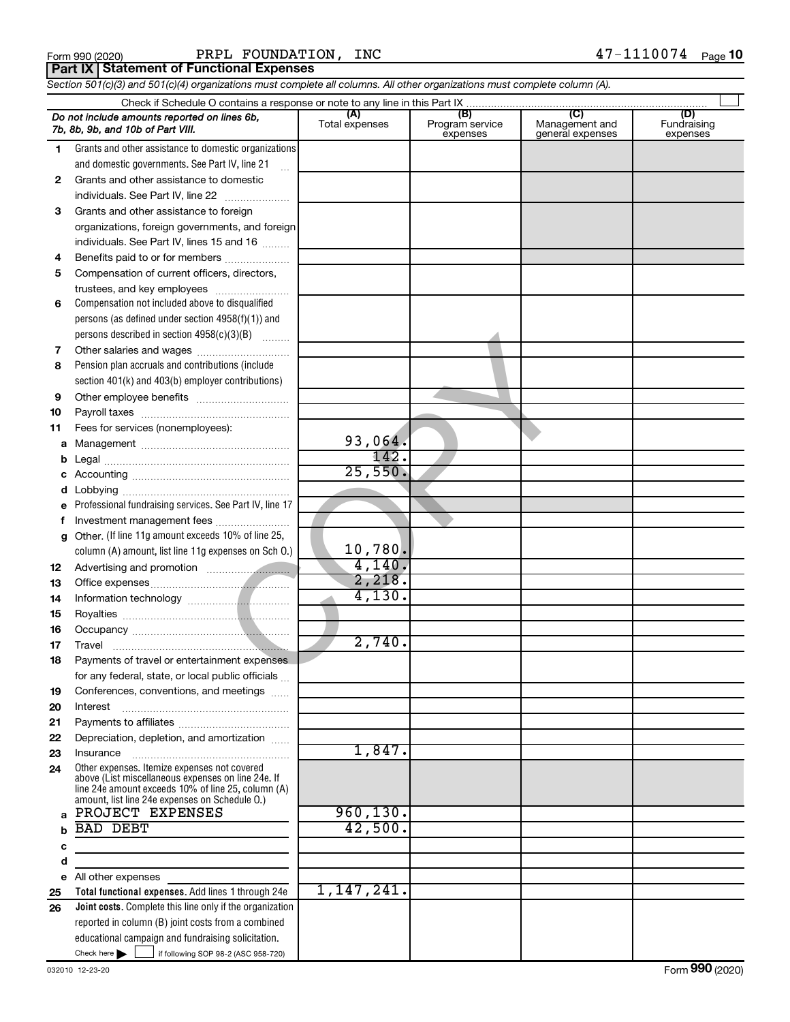|  | Form 990 (2020) |
|--|-----------------|

Form 990 (2020) Page PRPL FOUNDATION, INC 47-1110074 **Part IX Statement of Functional Expenses**

*Section 501(c)(3) and 501(c)(4) organizations must complete all columns. All other organizations must complete column (A).*

|              | Do not include amounts reported on lines 6b,<br>7b, 8b, 9b, and 10b of Part VIII.                                                                        | (A)<br>Total expenses | (B)<br>Program service<br>expenses | (C)<br>Management and<br>general expenses | (D)<br>Fundraising<br>expenses |  |  |  |  |
|--------------|----------------------------------------------------------------------------------------------------------------------------------------------------------|-----------------------|------------------------------------|-------------------------------------------|--------------------------------|--|--|--|--|
| 1            | Grants and other assistance to domestic organizations                                                                                                    |                       |                                    |                                           |                                |  |  |  |  |
|              | and domestic governments. See Part IV, line 21                                                                                                           |                       |                                    |                                           |                                |  |  |  |  |
| $\mathbf{2}$ | Grants and other assistance to domestic                                                                                                                  |                       |                                    |                                           |                                |  |  |  |  |
|              | individuals. See Part IV, line 22                                                                                                                        |                       |                                    |                                           |                                |  |  |  |  |
| 3            | Grants and other assistance to foreign                                                                                                                   |                       |                                    |                                           |                                |  |  |  |  |
|              | organizations, foreign governments, and foreign                                                                                                          |                       |                                    |                                           |                                |  |  |  |  |
|              | individuals. See Part IV, lines 15 and 16                                                                                                                |                       |                                    |                                           |                                |  |  |  |  |
| 4            | Benefits paid to or for members                                                                                                                          |                       |                                    |                                           |                                |  |  |  |  |
| 5            | Compensation of current officers, directors,                                                                                                             |                       |                                    |                                           |                                |  |  |  |  |
|              | trustees, and key employees                                                                                                                              |                       |                                    |                                           |                                |  |  |  |  |
| 6            | Compensation not included above to disqualified                                                                                                          |                       |                                    |                                           |                                |  |  |  |  |
|              | persons (as defined under section 4958(f)(1)) and                                                                                                        |                       |                                    |                                           |                                |  |  |  |  |
|              | persons described in section 4958(c)(3)(B)                                                                                                               |                       |                                    |                                           |                                |  |  |  |  |
| 7            |                                                                                                                                                          |                       |                                    |                                           |                                |  |  |  |  |
| 8            | Pension plan accruals and contributions (include                                                                                                         |                       |                                    |                                           |                                |  |  |  |  |
|              | section 401(k) and 403(b) employer contributions)                                                                                                        |                       |                                    |                                           |                                |  |  |  |  |
| 9            |                                                                                                                                                          |                       |                                    |                                           |                                |  |  |  |  |
| 10           |                                                                                                                                                          |                       |                                    |                                           |                                |  |  |  |  |
| 11           | Fees for services (nonemployees):                                                                                                                        |                       |                                    |                                           |                                |  |  |  |  |
| а            |                                                                                                                                                          | 93,064.               |                                    |                                           |                                |  |  |  |  |
|              |                                                                                                                                                          | 142.                  |                                    |                                           |                                |  |  |  |  |
|              |                                                                                                                                                          | 25,550.               |                                    |                                           |                                |  |  |  |  |
|              |                                                                                                                                                          |                       |                                    |                                           |                                |  |  |  |  |
| е            | Professional fundraising services. See Part IV, line 17                                                                                                  |                       |                                    |                                           |                                |  |  |  |  |
|              | Investment management fees                                                                                                                               |                       |                                    |                                           |                                |  |  |  |  |
| g            | Other. (If line 11g amount exceeds 10% of line 25,                                                                                                       | 10,780.               |                                    |                                           |                                |  |  |  |  |
|              | column (A) amount, list line 11g expenses on Sch O.)                                                                                                     | 4,140.                |                                    |                                           |                                |  |  |  |  |
| 12           |                                                                                                                                                          | 2,218.                |                                    |                                           |                                |  |  |  |  |
| 13           |                                                                                                                                                          | 4,130.                |                                    |                                           |                                |  |  |  |  |
| 14           |                                                                                                                                                          |                       |                                    |                                           |                                |  |  |  |  |
| 15<br>16     |                                                                                                                                                          |                       |                                    |                                           |                                |  |  |  |  |
| 17           | Travel                                                                                                                                                   | 2,740.                |                                    |                                           |                                |  |  |  |  |
| 18           | Payments of travel or entertainment expenses                                                                                                             |                       |                                    |                                           |                                |  |  |  |  |
|              | for any federal, state, or local public officials                                                                                                        |                       |                                    |                                           |                                |  |  |  |  |
| 19           | Conferences, conventions, and meetings                                                                                                                   |                       |                                    |                                           |                                |  |  |  |  |
| 20           | Interest                                                                                                                                                 |                       |                                    |                                           |                                |  |  |  |  |
| 21           |                                                                                                                                                          |                       |                                    |                                           |                                |  |  |  |  |
| 22           | Depreciation, depletion, and amortization                                                                                                                |                       |                                    |                                           |                                |  |  |  |  |
| 23           | Insurance                                                                                                                                                | 1,847.                |                                    |                                           |                                |  |  |  |  |
| 24           | Other expenses. Itemize expenses not covered<br>above (List miscellaneous expenses on line 24e. If<br>line 24e amount exceeds 10% of line 25, column (A) |                       |                                    |                                           |                                |  |  |  |  |
|              | amount, list line 24e expenses on Schedule O.)                                                                                                           |                       |                                    |                                           |                                |  |  |  |  |
| a            | PROJECT EXPENSES                                                                                                                                         | 960, 130.             |                                    |                                           |                                |  |  |  |  |
|              | <b>BAD DEBT</b>                                                                                                                                          | 42,500.               |                                    |                                           |                                |  |  |  |  |
| с            |                                                                                                                                                          |                       |                                    |                                           |                                |  |  |  |  |
| d            |                                                                                                                                                          |                       |                                    |                                           |                                |  |  |  |  |
| е            | All other expenses                                                                                                                                       |                       |                                    |                                           |                                |  |  |  |  |
| 25           | Total functional expenses. Add lines 1 through 24e                                                                                                       | 1,147,241.            |                                    |                                           |                                |  |  |  |  |
| 26           | Joint costs. Complete this line only if the organization<br>reported in column (B) joint costs from a combined                                           |                       |                                    |                                           |                                |  |  |  |  |
|              | educational campaign and fundraising solicitation.                                                                                                       |                       |                                    |                                           |                                |  |  |  |  |
|              | Check here $\blacktriangleright$<br>if following SOP 98-2 (ASC 958-720)                                                                                  |                       |                                    |                                           |                                |  |  |  |  |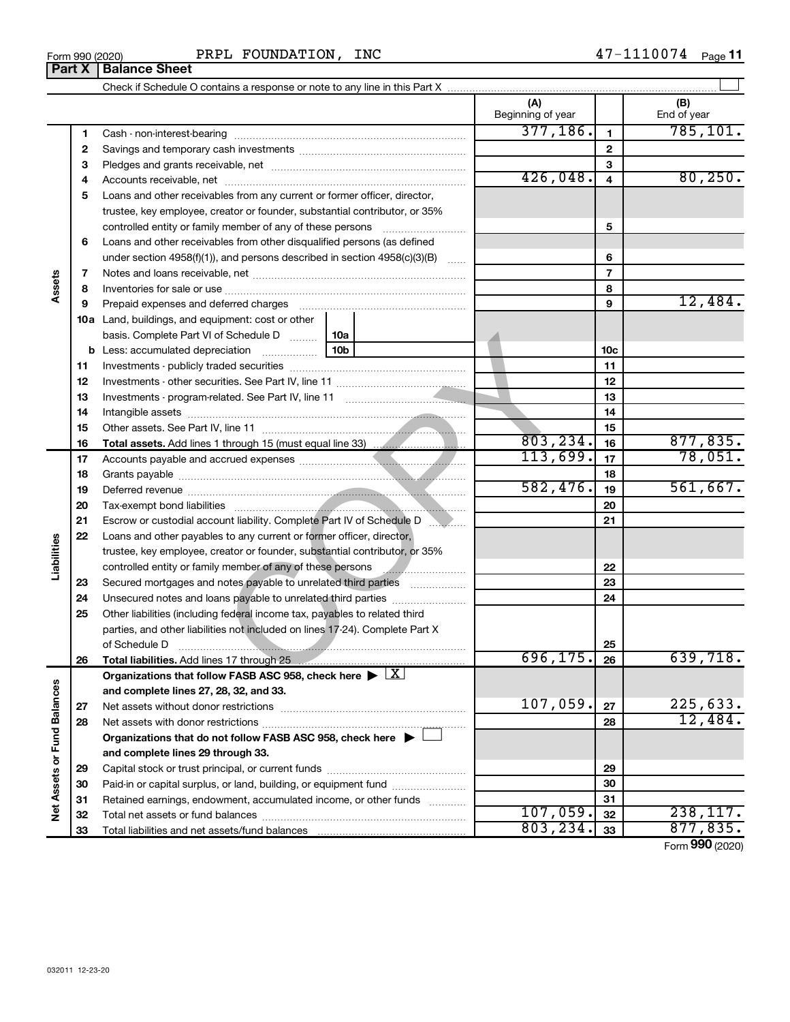| Form 990 (2020) | INC<br>FOUNDATION,<br>PRPL | 1110074<br>1 7<br>Page |
|-----------------|----------------------------|------------------------|
|-----------------|----------------------------|------------------------|

 $\perp$ 

**1 2**

**(A) (B)** Check if Schedule O contains a response or note to any line in this Part X Beginning of year  $\vert$  | End of year Cash - non-interest-bearing ~~~~~~~~~~~~~~~~~~~~~~~~~ Savings and temporary cash investments ~~~~~~~~~~~~~~~~~~ Pledges and grants receivable, net ~~~~~~~~~~~~~~~~~~~~~ Accounts receivable, net ~~~~~~~~~~~~~~~~~~~~~~~~~~ Loans and other receivables from any current or former officer, director, trustee, key employee, creator or founder, substantial contributor, or 35% controlled entity or family member of any of these persons ~~~~~~~~~ Loans and other receivables from other disqualified persons (as defined  $377,186.$  1 785,101.

| 426,048.<br>80, 250.<br>4<br>4<br>Loans and other receivables from any current or former officer, director,<br>5<br>trustee, key employee, creator or founder, substantial contributor, or 35%<br>5<br>controlled entity or family member of any of these persons<br>Loans and other receivables from other disqualified persons (as defined<br>6<br>under section 4958(f)(1)), and persons described in section 4958(c)(3)(B)<br>6<br>$\overline{7}$<br>7<br>Assets<br>8<br>8<br>12,484.<br>9<br>9<br>Prepaid expenses and deferred charges<br><b>10a</b> Land, buildings, and equipment: cost or other<br>basis. Complete Part VI of Schedule D    10a<br>10b<br>10c<br>11<br>11<br>12<br>12<br>13<br>13<br>14<br>14<br>15<br>15<br>803, 234.<br>877,835.<br>16<br>16<br>78,051.<br>113,699.<br>17<br>17<br>18<br>18<br>582,476.<br>561,667.<br>19<br>19<br>20<br>20<br>21<br>21<br>Escrow or custodial account liability. Complete Part IV of Schedule D<br>22<br>Loans and other payables to any current or former officer, director,<br>Liabilities<br>trustee, key employee, creator or founder, substantial contributor, or 35%<br>22<br>23<br>Secured mortgages and notes payable to unrelated third parties<br>23<br>24<br>Unsecured notes and loans payable to unrelated third parties<br>24<br>25<br>Other liabilities (including federal income tax, payables to related third<br>parties, and other liabilities not included on lines 17-24). Complete Part X<br>25<br>of Schedule D<br>696, 175.<br>639,718.<br>26<br>26<br>Total liabilities. Add lines 17 through 25<br>Organizations that follow FASB ASC 958, check here $\blacktriangleright \lfloor X \rfloor$<br>d Balances<br>and complete lines 27, 28, 32, and 33.<br>107,059.<br>225,633.<br>27<br>27<br>12,484.<br>28<br>28<br>Organizations that do not follow FASB ASC 958, check here $\blacktriangleright$<br>Net Assets or Fun<br>and complete lines 29 through 33.<br>29<br>29<br>Paid-in or capital surplus, or land, building, or equipment fund<br>30<br>30<br>Retained earnings, endowment, accumulated income, or other funds<br>31<br>31<br>107,059.<br>238, 117.<br>32<br>32<br>803, 234.<br>877,835.<br>33<br>33<br>Total liabilities and net assets/fund balances<br>Form 990 (2020) | 3 |  |  | 3 |  |
|-------------------------------------------------------------------------------------------------------------------------------------------------------------------------------------------------------------------------------------------------------------------------------------------------------------------------------------------------------------------------------------------------------------------------------------------------------------------------------------------------------------------------------------------------------------------------------------------------------------------------------------------------------------------------------------------------------------------------------------------------------------------------------------------------------------------------------------------------------------------------------------------------------------------------------------------------------------------------------------------------------------------------------------------------------------------------------------------------------------------------------------------------------------------------------------------------------------------------------------------------------------------------------------------------------------------------------------------------------------------------------------------------------------------------------------------------------------------------------------------------------------------------------------------------------------------------------------------------------------------------------------------------------------------------------------------------------------------------------------------------------------------------------------------------------------------------------------------------------------------------------------------------------------------------------------------------------------------------------------------------------------------------------------------------------------------------------------------------------------------------------------------------------------------------------------------------------------------------------------------------------------------------------|---|--|--|---|--|
|                                                                                                                                                                                                                                                                                                                                                                                                                                                                                                                                                                                                                                                                                                                                                                                                                                                                                                                                                                                                                                                                                                                                                                                                                                                                                                                                                                                                                                                                                                                                                                                                                                                                                                                                                                                                                                                                                                                                                                                                                                                                                                                                                                                                                                                                               |   |  |  |   |  |
|                                                                                                                                                                                                                                                                                                                                                                                                                                                                                                                                                                                                                                                                                                                                                                                                                                                                                                                                                                                                                                                                                                                                                                                                                                                                                                                                                                                                                                                                                                                                                                                                                                                                                                                                                                                                                                                                                                                                                                                                                                                                                                                                                                                                                                                                               |   |  |  |   |  |
|                                                                                                                                                                                                                                                                                                                                                                                                                                                                                                                                                                                                                                                                                                                                                                                                                                                                                                                                                                                                                                                                                                                                                                                                                                                                                                                                                                                                                                                                                                                                                                                                                                                                                                                                                                                                                                                                                                                                                                                                                                                                                                                                                                                                                                                                               |   |  |  |   |  |
|                                                                                                                                                                                                                                                                                                                                                                                                                                                                                                                                                                                                                                                                                                                                                                                                                                                                                                                                                                                                                                                                                                                                                                                                                                                                                                                                                                                                                                                                                                                                                                                                                                                                                                                                                                                                                                                                                                                                                                                                                                                                                                                                                                                                                                                                               |   |  |  |   |  |
|                                                                                                                                                                                                                                                                                                                                                                                                                                                                                                                                                                                                                                                                                                                                                                                                                                                                                                                                                                                                                                                                                                                                                                                                                                                                                                                                                                                                                                                                                                                                                                                                                                                                                                                                                                                                                                                                                                                                                                                                                                                                                                                                                                                                                                                                               |   |  |  |   |  |
|                                                                                                                                                                                                                                                                                                                                                                                                                                                                                                                                                                                                                                                                                                                                                                                                                                                                                                                                                                                                                                                                                                                                                                                                                                                                                                                                                                                                                                                                                                                                                                                                                                                                                                                                                                                                                                                                                                                                                                                                                                                                                                                                                                                                                                                                               |   |  |  |   |  |
|                                                                                                                                                                                                                                                                                                                                                                                                                                                                                                                                                                                                                                                                                                                                                                                                                                                                                                                                                                                                                                                                                                                                                                                                                                                                                                                                                                                                                                                                                                                                                                                                                                                                                                                                                                                                                                                                                                                                                                                                                                                                                                                                                                                                                                                                               |   |  |  |   |  |
|                                                                                                                                                                                                                                                                                                                                                                                                                                                                                                                                                                                                                                                                                                                                                                                                                                                                                                                                                                                                                                                                                                                                                                                                                                                                                                                                                                                                                                                                                                                                                                                                                                                                                                                                                                                                                                                                                                                                                                                                                                                                                                                                                                                                                                                                               |   |  |  |   |  |
|                                                                                                                                                                                                                                                                                                                                                                                                                                                                                                                                                                                                                                                                                                                                                                                                                                                                                                                                                                                                                                                                                                                                                                                                                                                                                                                                                                                                                                                                                                                                                                                                                                                                                                                                                                                                                                                                                                                                                                                                                                                                                                                                                                                                                                                                               |   |  |  |   |  |
|                                                                                                                                                                                                                                                                                                                                                                                                                                                                                                                                                                                                                                                                                                                                                                                                                                                                                                                                                                                                                                                                                                                                                                                                                                                                                                                                                                                                                                                                                                                                                                                                                                                                                                                                                                                                                                                                                                                                                                                                                                                                                                                                                                                                                                                                               |   |  |  |   |  |
|                                                                                                                                                                                                                                                                                                                                                                                                                                                                                                                                                                                                                                                                                                                                                                                                                                                                                                                                                                                                                                                                                                                                                                                                                                                                                                                                                                                                                                                                                                                                                                                                                                                                                                                                                                                                                                                                                                                                                                                                                                                                                                                                                                                                                                                                               |   |  |  |   |  |
|                                                                                                                                                                                                                                                                                                                                                                                                                                                                                                                                                                                                                                                                                                                                                                                                                                                                                                                                                                                                                                                                                                                                                                                                                                                                                                                                                                                                                                                                                                                                                                                                                                                                                                                                                                                                                                                                                                                                                                                                                                                                                                                                                                                                                                                                               |   |  |  |   |  |
|                                                                                                                                                                                                                                                                                                                                                                                                                                                                                                                                                                                                                                                                                                                                                                                                                                                                                                                                                                                                                                                                                                                                                                                                                                                                                                                                                                                                                                                                                                                                                                                                                                                                                                                                                                                                                                                                                                                                                                                                                                                                                                                                                                                                                                                                               |   |  |  |   |  |
|                                                                                                                                                                                                                                                                                                                                                                                                                                                                                                                                                                                                                                                                                                                                                                                                                                                                                                                                                                                                                                                                                                                                                                                                                                                                                                                                                                                                                                                                                                                                                                                                                                                                                                                                                                                                                                                                                                                                                                                                                                                                                                                                                                                                                                                                               |   |  |  |   |  |
|                                                                                                                                                                                                                                                                                                                                                                                                                                                                                                                                                                                                                                                                                                                                                                                                                                                                                                                                                                                                                                                                                                                                                                                                                                                                                                                                                                                                                                                                                                                                                                                                                                                                                                                                                                                                                                                                                                                                                                                                                                                                                                                                                                                                                                                                               |   |  |  |   |  |
|                                                                                                                                                                                                                                                                                                                                                                                                                                                                                                                                                                                                                                                                                                                                                                                                                                                                                                                                                                                                                                                                                                                                                                                                                                                                                                                                                                                                                                                                                                                                                                                                                                                                                                                                                                                                                                                                                                                                                                                                                                                                                                                                                                                                                                                                               |   |  |  |   |  |
|                                                                                                                                                                                                                                                                                                                                                                                                                                                                                                                                                                                                                                                                                                                                                                                                                                                                                                                                                                                                                                                                                                                                                                                                                                                                                                                                                                                                                                                                                                                                                                                                                                                                                                                                                                                                                                                                                                                                                                                                                                                                                                                                                                                                                                                                               |   |  |  |   |  |
|                                                                                                                                                                                                                                                                                                                                                                                                                                                                                                                                                                                                                                                                                                                                                                                                                                                                                                                                                                                                                                                                                                                                                                                                                                                                                                                                                                                                                                                                                                                                                                                                                                                                                                                                                                                                                                                                                                                                                                                                                                                                                                                                                                                                                                                                               |   |  |  |   |  |
|                                                                                                                                                                                                                                                                                                                                                                                                                                                                                                                                                                                                                                                                                                                                                                                                                                                                                                                                                                                                                                                                                                                                                                                                                                                                                                                                                                                                                                                                                                                                                                                                                                                                                                                                                                                                                                                                                                                                                                                                                                                                                                                                                                                                                                                                               |   |  |  |   |  |
|                                                                                                                                                                                                                                                                                                                                                                                                                                                                                                                                                                                                                                                                                                                                                                                                                                                                                                                                                                                                                                                                                                                                                                                                                                                                                                                                                                                                                                                                                                                                                                                                                                                                                                                                                                                                                                                                                                                                                                                                                                                                                                                                                                                                                                                                               |   |  |  |   |  |
|                                                                                                                                                                                                                                                                                                                                                                                                                                                                                                                                                                                                                                                                                                                                                                                                                                                                                                                                                                                                                                                                                                                                                                                                                                                                                                                                                                                                                                                                                                                                                                                                                                                                                                                                                                                                                                                                                                                                                                                                                                                                                                                                                                                                                                                                               |   |  |  |   |  |
|                                                                                                                                                                                                                                                                                                                                                                                                                                                                                                                                                                                                                                                                                                                                                                                                                                                                                                                                                                                                                                                                                                                                                                                                                                                                                                                                                                                                                                                                                                                                                                                                                                                                                                                                                                                                                                                                                                                                                                                                                                                                                                                                                                                                                                                                               |   |  |  |   |  |
|                                                                                                                                                                                                                                                                                                                                                                                                                                                                                                                                                                                                                                                                                                                                                                                                                                                                                                                                                                                                                                                                                                                                                                                                                                                                                                                                                                                                                                                                                                                                                                                                                                                                                                                                                                                                                                                                                                                                                                                                                                                                                                                                                                                                                                                                               |   |  |  |   |  |
|                                                                                                                                                                                                                                                                                                                                                                                                                                                                                                                                                                                                                                                                                                                                                                                                                                                                                                                                                                                                                                                                                                                                                                                                                                                                                                                                                                                                                                                                                                                                                                                                                                                                                                                                                                                                                                                                                                                                                                                                                                                                                                                                                                                                                                                                               |   |  |  |   |  |
|                                                                                                                                                                                                                                                                                                                                                                                                                                                                                                                                                                                                                                                                                                                                                                                                                                                                                                                                                                                                                                                                                                                                                                                                                                                                                                                                                                                                                                                                                                                                                                                                                                                                                                                                                                                                                                                                                                                                                                                                                                                                                                                                                                                                                                                                               |   |  |  |   |  |
|                                                                                                                                                                                                                                                                                                                                                                                                                                                                                                                                                                                                                                                                                                                                                                                                                                                                                                                                                                                                                                                                                                                                                                                                                                                                                                                                                                                                                                                                                                                                                                                                                                                                                                                                                                                                                                                                                                                                                                                                                                                                                                                                                                                                                                                                               |   |  |  |   |  |
|                                                                                                                                                                                                                                                                                                                                                                                                                                                                                                                                                                                                                                                                                                                                                                                                                                                                                                                                                                                                                                                                                                                                                                                                                                                                                                                                                                                                                                                                                                                                                                                                                                                                                                                                                                                                                                                                                                                                                                                                                                                                                                                                                                                                                                                                               |   |  |  |   |  |
|                                                                                                                                                                                                                                                                                                                                                                                                                                                                                                                                                                                                                                                                                                                                                                                                                                                                                                                                                                                                                                                                                                                                                                                                                                                                                                                                                                                                                                                                                                                                                                                                                                                                                                                                                                                                                                                                                                                                                                                                                                                                                                                                                                                                                                                                               |   |  |  |   |  |
|                                                                                                                                                                                                                                                                                                                                                                                                                                                                                                                                                                                                                                                                                                                                                                                                                                                                                                                                                                                                                                                                                                                                                                                                                                                                                                                                                                                                                                                                                                                                                                                                                                                                                                                                                                                                                                                                                                                                                                                                                                                                                                                                                                                                                                                                               |   |  |  |   |  |
|                                                                                                                                                                                                                                                                                                                                                                                                                                                                                                                                                                                                                                                                                                                                                                                                                                                                                                                                                                                                                                                                                                                                                                                                                                                                                                                                                                                                                                                                                                                                                                                                                                                                                                                                                                                                                                                                                                                                                                                                                                                                                                                                                                                                                                                                               |   |  |  |   |  |
|                                                                                                                                                                                                                                                                                                                                                                                                                                                                                                                                                                                                                                                                                                                                                                                                                                                                                                                                                                                                                                                                                                                                                                                                                                                                                                                                                                                                                                                                                                                                                                                                                                                                                                                                                                                                                                                                                                                                                                                                                                                                                                                                                                                                                                                                               |   |  |  |   |  |
|                                                                                                                                                                                                                                                                                                                                                                                                                                                                                                                                                                                                                                                                                                                                                                                                                                                                                                                                                                                                                                                                                                                                                                                                                                                                                                                                                                                                                                                                                                                                                                                                                                                                                                                                                                                                                                                                                                                                                                                                                                                                                                                                                                                                                                                                               |   |  |  |   |  |
|                                                                                                                                                                                                                                                                                                                                                                                                                                                                                                                                                                                                                                                                                                                                                                                                                                                                                                                                                                                                                                                                                                                                                                                                                                                                                                                                                                                                                                                                                                                                                                                                                                                                                                                                                                                                                                                                                                                                                                                                                                                                                                                                                                                                                                                                               |   |  |  |   |  |
|                                                                                                                                                                                                                                                                                                                                                                                                                                                                                                                                                                                                                                                                                                                                                                                                                                                                                                                                                                                                                                                                                                                                                                                                                                                                                                                                                                                                                                                                                                                                                                                                                                                                                                                                                                                                                                                                                                                                                                                                                                                                                                                                                                                                                                                                               |   |  |  |   |  |
|                                                                                                                                                                                                                                                                                                                                                                                                                                                                                                                                                                                                                                                                                                                                                                                                                                                                                                                                                                                                                                                                                                                                                                                                                                                                                                                                                                                                                                                                                                                                                                                                                                                                                                                                                                                                                                                                                                                                                                                                                                                                                                                                                                                                                                                                               |   |  |  |   |  |
|                                                                                                                                                                                                                                                                                                                                                                                                                                                                                                                                                                                                                                                                                                                                                                                                                                                                                                                                                                                                                                                                                                                                                                                                                                                                                                                                                                                                                                                                                                                                                                                                                                                                                                                                                                                                                                                                                                                                                                                                                                                                                                                                                                                                                                                                               |   |  |  |   |  |
|                                                                                                                                                                                                                                                                                                                                                                                                                                                                                                                                                                                                                                                                                                                                                                                                                                                                                                                                                                                                                                                                                                                                                                                                                                                                                                                                                                                                                                                                                                                                                                                                                                                                                                                                                                                                                                                                                                                                                                                                                                                                                                                                                                                                                                                                               |   |  |  |   |  |
|                                                                                                                                                                                                                                                                                                                                                                                                                                                                                                                                                                                                                                                                                                                                                                                                                                                                                                                                                                                                                                                                                                                                                                                                                                                                                                                                                                                                                                                                                                                                                                                                                                                                                                                                                                                                                                                                                                                                                                                                                                                                                                                                                                                                                                                                               |   |  |  |   |  |
|                                                                                                                                                                                                                                                                                                                                                                                                                                                                                                                                                                                                                                                                                                                                                                                                                                                                                                                                                                                                                                                                                                                                                                                                                                                                                                                                                                                                                                                                                                                                                                                                                                                                                                                                                                                                                                                                                                                                                                                                                                                                                                                                                                                                                                                                               |   |  |  |   |  |
|                                                                                                                                                                                                                                                                                                                                                                                                                                                                                                                                                                                                                                                                                                                                                                                                                                                                                                                                                                                                                                                                                                                                                                                                                                                                                                                                                                                                                                                                                                                                                                                                                                                                                                                                                                                                                                                                                                                                                                                                                                                                                                                                                                                                                                                                               |   |  |  |   |  |
|                                                                                                                                                                                                                                                                                                                                                                                                                                                                                                                                                                                                                                                                                                                                                                                                                                                                                                                                                                                                                                                                                                                                                                                                                                                                                                                                                                                                                                                                                                                                                                                                                                                                                                                                                                                                                                                                                                                                                                                                                                                                                                                                                                                                                                                                               |   |  |  |   |  |
|                                                                                                                                                                                                                                                                                                                                                                                                                                                                                                                                                                                                                                                                                                                                                                                                                                                                                                                                                                                                                                                                                                                                                                                                                                                                                                                                                                                                                                                                                                                                                                                                                                                                                                                                                                                                                                                                                                                                                                                                                                                                                                                                                                                                                                                                               |   |  |  |   |  |
|                                                                                                                                                                                                                                                                                                                                                                                                                                                                                                                                                                                                                                                                                                                                                                                                                                                                                                                                                                                                                                                                                                                                                                                                                                                                                                                                                                                                                                                                                                                                                                                                                                                                                                                                                                                                                                                                                                                                                                                                                                                                                                                                                                                                                                                                               |   |  |  |   |  |

**Part X Balance Sheet**

**1 2**  $\mathbf{a}$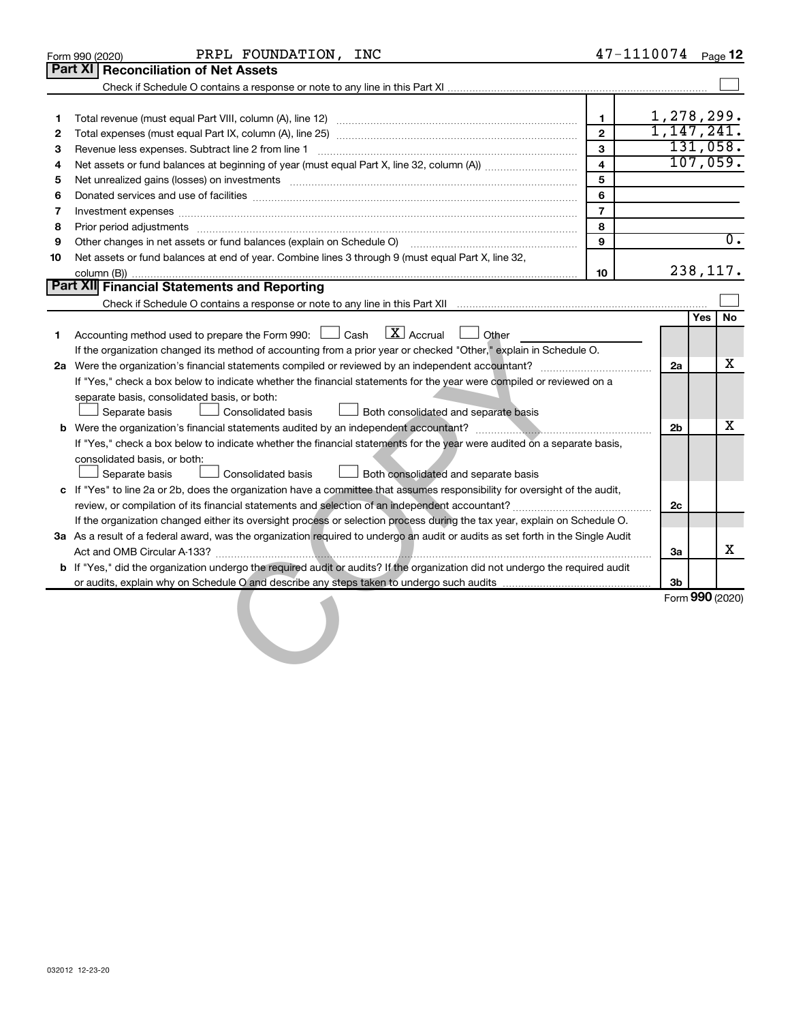|              | PRPL FOUNDATION, INC<br>Form 990 (2020)                                                                                                                                                                                        |                         | 47-1110074 |                |     | Page 12         |
|--------------|--------------------------------------------------------------------------------------------------------------------------------------------------------------------------------------------------------------------------------|-------------------------|------------|----------------|-----|-----------------|
|              | Part XI   Reconciliation of Net Assets                                                                                                                                                                                         |                         |            |                |     |                 |
|              |                                                                                                                                                                                                                                |                         |            |                |     |                 |
|              |                                                                                                                                                                                                                                |                         |            |                |     |                 |
| 1            |                                                                                                                                                                                                                                | $\mathbf{1}$            | 1,278,299. |                |     |                 |
| $\mathbf{2}$ |                                                                                                                                                                                                                                | $\overline{2}$          | 1,147,241. |                |     |                 |
| 3            |                                                                                                                                                                                                                                | 3                       |            |                |     | 131,058.        |
| 4            |                                                                                                                                                                                                                                | $\overline{\mathbf{4}}$ |            |                |     | 107,059.        |
| 5            | Net unrealized gains (losses) on investments [11] matter in the context of the context of the context of the context of the context of the context of the context of the context of the context of the context of the context  | 5                       |            |                |     |                 |
| 6            |                                                                                                                                                                                                                                | 6                       |            |                |     |                 |
| 7            |                                                                                                                                                                                                                                | $\overline{7}$          |            |                |     |                 |
| 8            | Prior period adjustments [111] material contracts and adjustments and contracts are contracted adjustments and contract and contract and contract and contract and contract and contract and contract and contract and contrac | 8                       |            |                |     |                 |
| 9            | Other changes in net assets or fund balances (explain on Schedule O) [11] contains an intermal contains an orthogogle                                                                                                          | 9                       |            |                |     | 0.              |
| 10           | Net assets or fund balances at end of year. Combine lines 3 through 9 (must equal Part X, line 32,                                                                                                                             |                         |            |                |     |                 |
|              |                                                                                                                                                                                                                                | 10                      |            |                |     | 238,117.        |
|              | Part XII Financial Statements and Reporting                                                                                                                                                                                    |                         |            |                |     |                 |
|              |                                                                                                                                                                                                                                |                         |            |                |     |                 |
|              |                                                                                                                                                                                                                                |                         |            |                | Yes | No              |
| 1            | $\boxed{\mathbf{X}}$ Accrual<br>Accounting method used to prepare the Form 990: [130] Cash<br>Other                                                                                                                            |                         |            |                |     |                 |
|              | If the organization changed its method of accounting from a prior year or checked "Other," explain in Schedule O.                                                                                                              |                         |            |                |     |                 |
|              |                                                                                                                                                                                                                                |                         |            | 2a             |     | x               |
|              | If "Yes," check a box below to indicate whether the financial statements for the year were compiled or reviewed on a                                                                                                           |                         |            |                |     |                 |
|              | separate basis, consolidated basis, or both:                                                                                                                                                                                   |                         |            |                |     |                 |
|              | Separate basis<br>Consolidated basis<br><b>Both consolidated and separate basis</b>                                                                                                                                            |                         |            |                |     |                 |
| b            |                                                                                                                                                                                                                                |                         |            | 2 <sub>b</sub> |     | х               |
|              | If "Yes," check a box below to indicate whether the financial statements for the year were audited on a separate basis,                                                                                                        |                         |            |                |     |                 |
|              | consolidated basis, or both:                                                                                                                                                                                                   |                         |            |                |     |                 |
|              | Separate basis<br><b>Consolidated basis</b><br>Both consolidated and separate basis                                                                                                                                            |                         |            |                |     |                 |
|              | c If "Yes" to line 2a or 2b, does the organization have a committee that assumes responsibility for oversight of the audit,                                                                                                    |                         |            |                |     |                 |
|              |                                                                                                                                                                                                                                |                         |            | 2c             |     |                 |
|              | If the organization changed either its oversight process or selection process during the tax year, explain on Schedule O.                                                                                                      |                         |            |                |     |                 |
|              | 3a As a result of a federal award, was the organization required to undergo an audit or audits as set forth in the Single Audit                                                                                                |                         |            |                |     | х               |
|              |                                                                                                                                                                                                                                |                         |            | 3a             |     |                 |
|              | b If "Yes," did the organization undergo the required audit or audits? If the organization did not undergo the required audit                                                                                                  |                         |            |                |     |                 |
|              |                                                                                                                                                                                                                                |                         |            | 3b             |     | Form 990 (2020) |
|              |                                                                                                                                                                                                                                |                         |            |                |     |                 |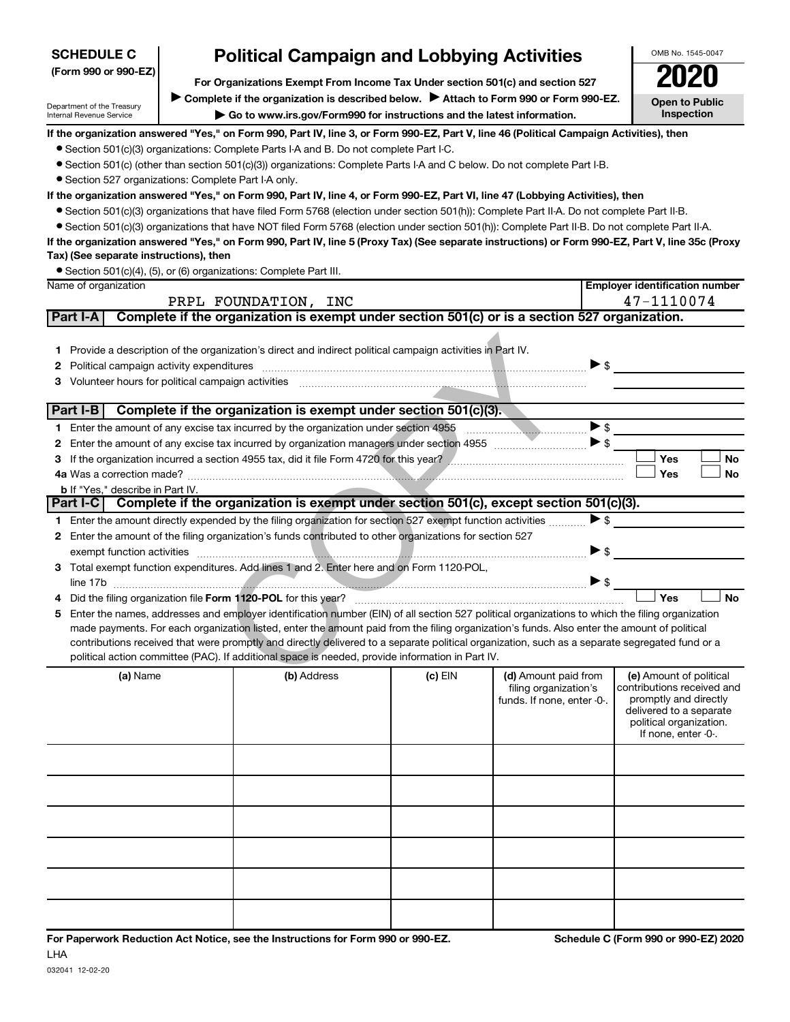| <b>SCHEDULE C</b>                                      | <b>Political Campaign and Lobbying Activities</b>                                                                                                                      |                                                                                                                                                                                                                   |           |                                               | OMB No. 1545-0047                                     |  |  |  |  |  |
|--------------------------------------------------------|------------------------------------------------------------------------------------------------------------------------------------------------------------------------|-------------------------------------------------------------------------------------------------------------------------------------------------------------------------------------------------------------------|-----------|-----------------------------------------------|-------------------------------------------------------|--|--|--|--|--|
| (Form 990 or 990-EZ)                                   |                                                                                                                                                                        |                                                                                                                                                                                                                   |           |                                               |                                                       |  |  |  |  |  |
|                                                        | For Organizations Exempt From Income Tax Under section 501(c) and section 527<br>Complete if the organization is described below. > Attach to Form 990 or Form 990-EZ. |                                                                                                                                                                                                                   |           |                                               |                                                       |  |  |  |  |  |
| Department of the Treasury<br>Internal Revenue Service | <b>Open to Public</b><br>Inspection                                                                                                                                    |                                                                                                                                                                                                                   |           |                                               |                                                       |  |  |  |  |  |
|                                                        |                                                                                                                                                                        | Go to www.irs.gov/Form990 for instructions and the latest information.<br>If the organization answered "Yes," on Form 990, Part IV, line 3, or Form 990-EZ, Part V, line 46 (Political Campaign Activities), then |           |                                               |                                                       |  |  |  |  |  |
|                                                        |                                                                                                                                                                        | • Section 501(c)(3) organizations: Complete Parts I-A and B. Do not complete Part I-C.                                                                                                                            |           |                                               |                                                       |  |  |  |  |  |
|                                                        |                                                                                                                                                                        | ● Section 501(c) (other than section 501(c)(3)) organizations: Complete Parts I-A and C below. Do not complete Part I-B.                                                                                          |           |                                               |                                                       |  |  |  |  |  |
| • Section 527 organizations: Complete Part I-A only.   |                                                                                                                                                                        |                                                                                                                                                                                                                   |           |                                               |                                                       |  |  |  |  |  |
|                                                        | If the organization answered "Yes," on Form 990, Part IV, line 4, or Form 990-EZ, Part VI, line 47 (Lobbying Activities), then                                         |                                                                                                                                                                                                                   |           |                                               |                                                       |  |  |  |  |  |
|                                                        |                                                                                                                                                                        | ● Section 501(c)(3) organizations that have filed Form 5768 (election under section 501(h)): Complete Part II-A. Do not complete Part II-B.                                                                       |           |                                               |                                                       |  |  |  |  |  |
|                                                        |                                                                                                                                                                        | • Section 501(c)(3) organizations that have NOT filed Form 5768 (election under section 501(h)): Complete Part II-B. Do not complete Part II-A.                                                                   |           |                                               |                                                       |  |  |  |  |  |
|                                                        |                                                                                                                                                                        | If the organization answered "Yes," on Form 990, Part IV, line 5 (Proxy Tax) (See separate instructions) or Form 990-EZ, Part V, line 35c (Proxy                                                                  |           |                                               |                                                       |  |  |  |  |  |
| Tax) (See separate instructions), then                 |                                                                                                                                                                        |                                                                                                                                                                                                                   |           |                                               |                                                       |  |  |  |  |  |
| Name of organization                                   |                                                                                                                                                                        | • Section 501(c)(4), (5), or (6) organizations: Complete Part III.                                                                                                                                                |           |                                               | <b>Employer identification number</b>                 |  |  |  |  |  |
|                                                        |                                                                                                                                                                        | PRPL FOUNDATION, INC                                                                                                                                                                                              |           |                                               | 47-1110074                                            |  |  |  |  |  |
| Part I-A                                               |                                                                                                                                                                        | Complete if the organization is exempt under section 501(c) or is a section 527 organization.                                                                                                                     |           |                                               |                                                       |  |  |  |  |  |
|                                                        |                                                                                                                                                                        |                                                                                                                                                                                                                   |           |                                               |                                                       |  |  |  |  |  |
|                                                        |                                                                                                                                                                        | 1 Provide a description of the organization's direct and indirect political campaign activities in Part IV.                                                                                                       |           |                                               |                                                       |  |  |  |  |  |
| Political campaign activity expenditures<br>2          |                                                                                                                                                                        |                                                                                                                                                                                                                   |           | $\blacktriangleright$ \$                      |                                                       |  |  |  |  |  |
| Volunteer hours for political campaign activities<br>з |                                                                                                                                                                        |                                                                                                                                                                                                                   |           |                                               |                                                       |  |  |  |  |  |
|                                                        |                                                                                                                                                                        |                                                                                                                                                                                                                   |           |                                               |                                                       |  |  |  |  |  |
| Part I-B                                               |                                                                                                                                                                        | Complete if the organization is exempt under section 501(c)(3).                                                                                                                                                   |           |                                               |                                                       |  |  |  |  |  |
|                                                        |                                                                                                                                                                        |                                                                                                                                                                                                                   |           | $\blacktriangleright$ \$                      |                                                       |  |  |  |  |  |
| 2                                                      |                                                                                                                                                                        |                                                                                                                                                                                                                   |           |                                               |                                                       |  |  |  |  |  |
| з                                                      |                                                                                                                                                                        |                                                                                                                                                                                                                   |           |                                               | Yes<br><b>No</b>                                      |  |  |  |  |  |
|                                                        |                                                                                                                                                                        |                                                                                                                                                                                                                   |           |                                               | <b>Yes</b><br>No                                      |  |  |  |  |  |
| <b>b</b> If "Yes," describe in Part IV.                |                                                                                                                                                                        | Part I-C Complete if the organization is exempt under section 501(c), except section 501(c)(3).                                                                                                                   |           |                                               |                                                       |  |  |  |  |  |
|                                                        |                                                                                                                                                                        | 1 Enter the amount directly expended by the filing organization for section 527 exempt function activities                                                                                                        |           | $\blacktriangleright$ \$                      |                                                       |  |  |  |  |  |
| 2                                                      |                                                                                                                                                                        | Enter the amount of the filing organization's funds contributed to other organizations for section 527                                                                                                            |           |                                               |                                                       |  |  |  |  |  |
|                                                        |                                                                                                                                                                        |                                                                                                                                                                                                                   |           | $\blacktriangleright$ \$                      |                                                       |  |  |  |  |  |
| З                                                      |                                                                                                                                                                        | Total exempt function expenditures. Add lines 1 and 2. Enter here and on Form 1120-POL,                                                                                                                           |           |                                               |                                                       |  |  |  |  |  |
|                                                        |                                                                                                                                                                        |                                                                                                                                                                                                                   |           |                                               |                                                       |  |  |  |  |  |
| 4                                                      |                                                                                                                                                                        |                                                                                                                                                                                                                   |           |                                               | Yes<br><b>No</b>                                      |  |  |  |  |  |
| 5                                                      |                                                                                                                                                                        | Enter the names, addresses and employer identification number (EIN) of all section 527 political organizations to which the filing organization                                                                   |           |                                               |                                                       |  |  |  |  |  |
|                                                        |                                                                                                                                                                        | made payments. For each organization listed, enter the amount paid from the filing organization's funds. Also enter the amount of political                                                                       |           |                                               |                                                       |  |  |  |  |  |
|                                                        |                                                                                                                                                                        | contributions received that were promptly and directly delivered to a separate political organization, such as a separate segregated fund or a                                                                    |           |                                               |                                                       |  |  |  |  |  |
|                                                        |                                                                                                                                                                        | political action committee (PAC). If additional space is needed, provide information in Part IV.                                                                                                                  |           |                                               |                                                       |  |  |  |  |  |
| (a) Name                                               |                                                                                                                                                                        | (b) Address                                                                                                                                                                                                       | $(c)$ EIN | (d) Amount paid from<br>filing organization's | (e) Amount of political<br>contributions received and |  |  |  |  |  |
|                                                        |                                                                                                                                                                        |                                                                                                                                                                                                                   |           | funds. If none, enter -0-.                    | promptly and directly                                 |  |  |  |  |  |
|                                                        |                                                                                                                                                                        |                                                                                                                                                                                                                   |           |                                               | delivered to a separate<br>political organization.    |  |  |  |  |  |
|                                                        |                                                                                                                                                                        |                                                                                                                                                                                                                   |           |                                               | If none, enter -0-.                                   |  |  |  |  |  |
|                                                        |                                                                                                                                                                        |                                                                                                                                                                                                                   |           |                                               |                                                       |  |  |  |  |  |
|                                                        |                                                                                                                                                                        |                                                                                                                                                                                                                   |           |                                               |                                                       |  |  |  |  |  |
|                                                        |                                                                                                                                                                        |                                                                                                                                                                                                                   |           |                                               |                                                       |  |  |  |  |  |
|                                                        |                                                                                                                                                                        |                                                                                                                                                                                                                   |           |                                               |                                                       |  |  |  |  |  |
|                                                        |                                                                                                                                                                        |                                                                                                                                                                                                                   |           |                                               |                                                       |  |  |  |  |  |
|                                                        |                                                                                                                                                                        |                                                                                                                                                                                                                   |           |                                               |                                                       |  |  |  |  |  |
|                                                        |                                                                                                                                                                        |                                                                                                                                                                                                                   |           |                                               |                                                       |  |  |  |  |  |
|                                                        |                                                                                                                                                                        |                                                                                                                                                                                                                   |           |                                               |                                                       |  |  |  |  |  |
|                                                        |                                                                                                                                                                        |                                                                                                                                                                                                                   |           |                                               |                                                       |  |  |  |  |  |
|                                                        |                                                                                                                                                                        |                                                                                                                                                                                                                   |           |                                               |                                                       |  |  |  |  |  |
|                                                        |                                                                                                                                                                        |                                                                                                                                                                                                                   |           |                                               |                                                       |  |  |  |  |  |
|                                                        |                                                                                                                                                                        |                                                                                                                                                                                                                   |           |                                               |                                                       |  |  |  |  |  |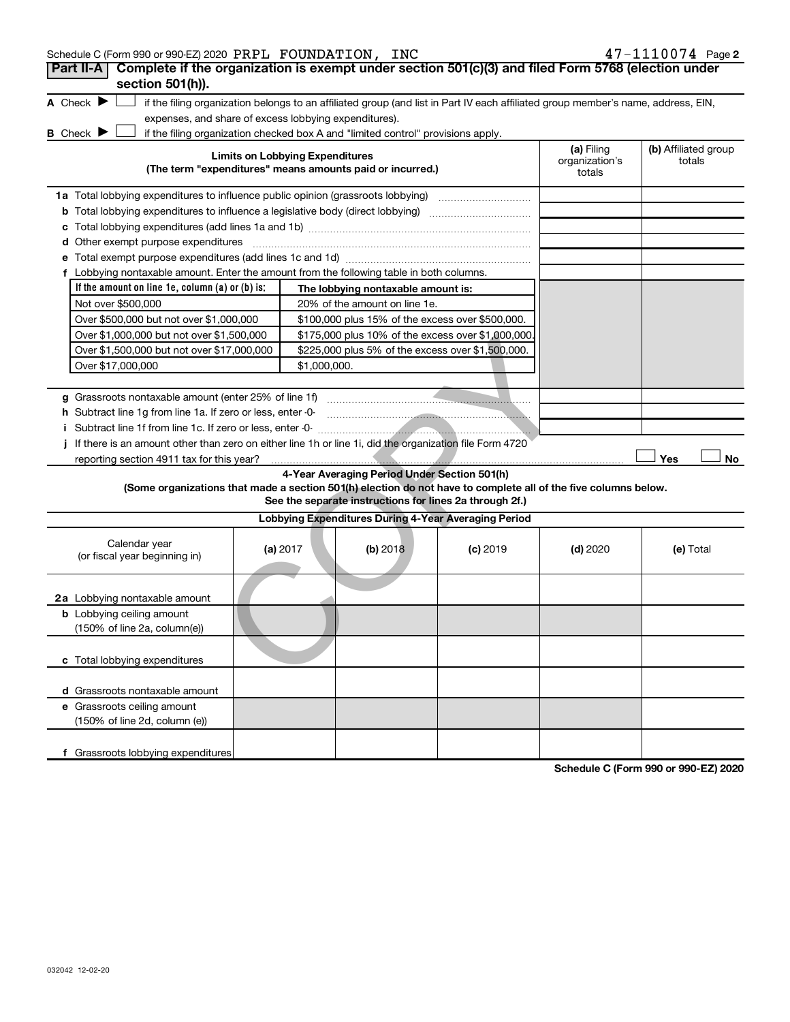| Schedule C (Form 990 or 990-EZ) 2020 PRPL FOUNDATION, INC                                                                                                          |                                        |                                                         |            |                              | 47-1110074 Page 2              |
|--------------------------------------------------------------------------------------------------------------------------------------------------------------------|----------------------------------------|---------------------------------------------------------|------------|------------------------------|--------------------------------|
| Complete if the organization is exempt under section 501(c)(3) and filed Form 5768 (election under<br>Part II-A                                                    |                                        |                                                         |            |                              |                                |
| section 501(h)).                                                                                                                                                   |                                        |                                                         |            |                              |                                |
| A Check $\blacktriangleright$<br>if the filing organization belongs to an affiliated group (and list in Part IV each affiliated group member's name, address, EIN, |                                        |                                                         |            |                              |                                |
| expenses, and share of excess lobbying expenditures).                                                                                                              |                                        |                                                         |            |                              |                                |
| <b>B</b> Check $\blacktriangleright$<br>if the filing organization checked box A and "limited control" provisions apply.                                           |                                        |                                                         |            |                              |                                |
|                                                                                                                                                                    | <b>Limits on Lobbying Expenditures</b> |                                                         |            | (a) Filing<br>organization's | (b) Affiliated group<br>totals |
| (The term "expenditures" means amounts paid or incurred.)                                                                                                          |                                        |                                                         |            | totals                       |                                |
|                                                                                                                                                                    |                                        |                                                         |            |                              |                                |
| <b>b</b> Total lobbying expenditures to influence a legislative body (direct lobbying)                                                                             |                                        |                                                         |            |                              |                                |
|                                                                                                                                                                    |                                        |                                                         |            |                              |                                |
| <b>d</b> Other exempt purpose expenditures                                                                                                                         |                                        |                                                         |            |                              |                                |
|                                                                                                                                                                    |                                        |                                                         |            |                              |                                |
| f Lobbying nontaxable amount. Enter the amount from the following table in both columns.                                                                           |                                        |                                                         |            |                              |                                |
| If the amount on line $1e$ , column $(a)$ or $(b)$ is:                                                                                                             |                                        | The lobbying nontaxable amount is:                      |            |                              |                                |
| Not over \$500,000                                                                                                                                                 |                                        | 20% of the amount on line 1e.                           |            |                              |                                |
| Over \$500,000 but not over \$1,000,000                                                                                                                            |                                        | \$100,000 plus 15% of the excess over \$500,000.        |            |                              |                                |
| Over \$1,000,000 but not over \$1,500,000                                                                                                                          |                                        | \$175,000 plus 10% of the excess over \$1,000,000       |            |                              |                                |
| Over \$1,500,000 but not over \$17,000,000                                                                                                                         |                                        | \$225,000 plus 5% of the excess over \$1,500,000.       |            |                              |                                |
| Over \$17,000,000                                                                                                                                                  | \$1,000,000.                           |                                                         |            |                              |                                |
|                                                                                                                                                                    |                                        |                                                         |            |                              |                                |
| g Grassroots nontaxable amount (enter 25% of line 1f)                                                                                                              |                                        |                                                         |            |                              |                                |
| h Subtract line 1q from line 1a. If zero or less, enter -0-                                                                                                        |                                        |                                                         |            |                              |                                |
|                                                                                                                                                                    |                                        |                                                         |            |                              |                                |
| If there is an amount other than zero on either line 1h or line 1i, did the organization file Form 4720                                                            |                                        |                                                         |            |                              |                                |
| reporting section 4911 tax for this year?                                                                                                                          |                                        |                                                         |            |                              | Yes<br>No                      |
|                                                                                                                                                                    |                                        | 4-Year Averaging Period Under Section 501(h)            |            |                              |                                |
| (Some organizations that made a section 501(h) election do not have to complete all of the five columns below.                                                     |                                        |                                                         |            |                              |                                |
|                                                                                                                                                                    |                                        | See the separate instructions for lines 2a through 2f.) |            |                              |                                |
|                                                                                                                                                                    |                                        | Lobbying Expenditures During 4-Year Averaging Period    |            |                              |                                |
| Calendar year                                                                                                                                                      | (a) 2017                               | (b) 2018                                                | $(c)$ 2019 | $(d)$ 2020                   | (e) Total                      |
| (or fiscal year beginning in)                                                                                                                                      |                                        |                                                         |            |                              |                                |
|                                                                                                                                                                    |                                        |                                                         |            |                              |                                |
| 2a Lobbying nontaxable amount                                                                                                                                      |                                        |                                                         |            |                              |                                |
| <b>b</b> Lobbying ceiling amount                                                                                                                                   |                                        |                                                         |            |                              |                                |
| (150% of line 2a, column(e))                                                                                                                                       |                                        |                                                         |            |                              |                                |
|                                                                                                                                                                    |                                        |                                                         |            |                              |                                |
| c Total lobbying expenditures                                                                                                                                      |                                        |                                                         |            |                              |                                |
|                                                                                                                                                                    |                                        |                                                         |            |                              |                                |
| d Grassroots nontaxable amount                                                                                                                                     |                                        |                                                         |            |                              |                                |
| e Grassroots ceiling amount                                                                                                                                        |                                        |                                                         |            |                              |                                |
| (150% of line 2d, column (e))                                                                                                                                      |                                        |                                                         |            |                              |                                |
|                                                                                                                                                                    |                                        |                                                         |            |                              |                                |
| f Grassroots lobbying expenditures                                                                                                                                 |                                        |                                                         |            |                              |                                |

**Schedule C (Form 990 or 990-EZ) 2020**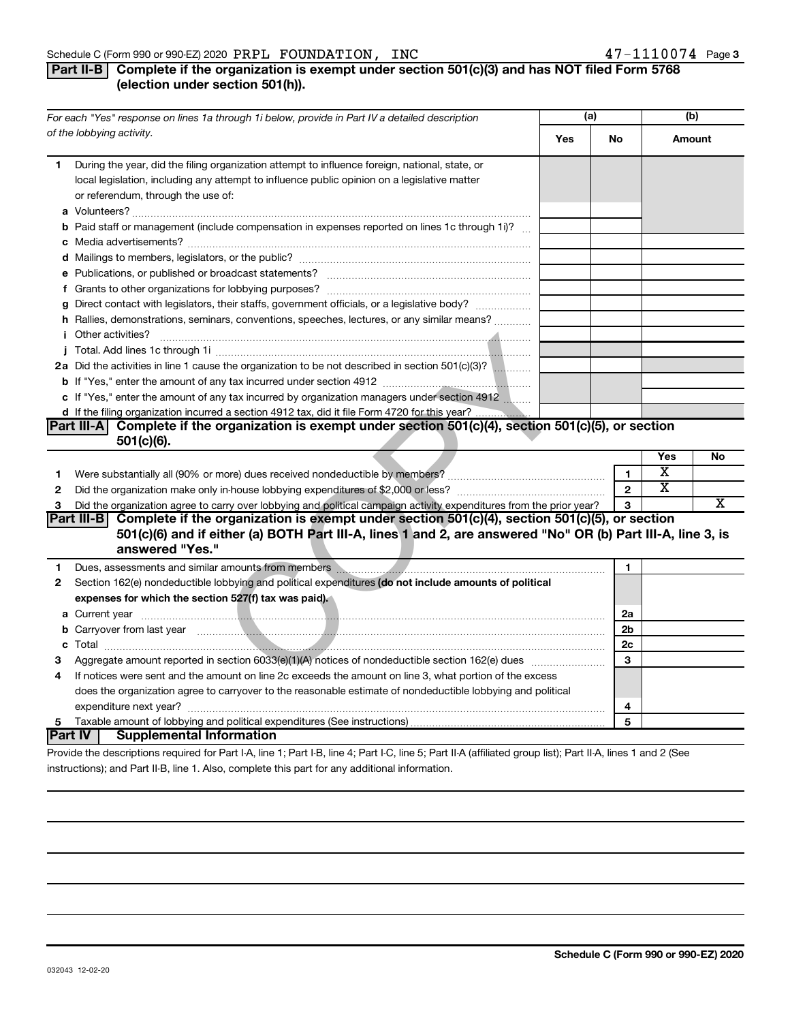#### **Part II-B** Complete if the organization is exempt under section 501(c)(3) and has NOT filed Form 5768 **(election under section 501(h)).**

|    | For each "Yes" response on lines 1a through 1i below, provide in Part IV a detailed description                                                                                                                                            |     |                | (b)                     |                       |
|----|--------------------------------------------------------------------------------------------------------------------------------------------------------------------------------------------------------------------------------------------|-----|----------------|-------------------------|-----------------------|
|    | of the lobbying activity.                                                                                                                                                                                                                  | Yes | No             | Amount                  |                       |
| 1  | During the year, did the filing organization attempt to influence foreign, national, state, or<br>local legislation, including any attempt to influence public opinion on a legislative matter<br>or referendum, through the use of:       |     |                |                         |                       |
|    | <b>b</b> Paid staff or management (include compensation in expenses reported on lines 1c through 1i)?                                                                                                                                      |     |                |                         |                       |
|    |                                                                                                                                                                                                                                            |     |                |                         |                       |
|    |                                                                                                                                                                                                                                            |     |                |                         |                       |
|    |                                                                                                                                                                                                                                            |     |                |                         |                       |
|    |                                                                                                                                                                                                                                            |     |                |                         |                       |
|    | g Direct contact with legislators, their staffs, government officials, or a legislative body?                                                                                                                                              |     |                |                         |                       |
|    | h Rallies, demonstrations, seminars, conventions, speeches, lectures, or any similar means?                                                                                                                                                |     |                |                         |                       |
|    |                                                                                                                                                                                                                                            |     |                |                         |                       |
|    |                                                                                                                                                                                                                                            |     |                |                         |                       |
|    | 2a Did the activities in line 1 cause the organization to be not described in section 501(c)(3)?                                                                                                                                           |     |                |                         |                       |
|    |                                                                                                                                                                                                                                            |     |                |                         |                       |
|    | c If "Yes," enter the amount of any tax incurred by organization managers under section 4912                                                                                                                                               |     |                |                         |                       |
|    | d If the filing organization incurred a section 4912 tax, did it file Form 4720 for this year?                                                                                                                                             |     |                |                         |                       |
|    | Part III-A Complete if the organization is exempt under section $501(c)(4)$ , section $501(c)(5)$ , or section                                                                                                                             |     |                |                         |                       |
|    | $501(c)(6)$ .                                                                                                                                                                                                                              |     |                |                         |                       |
|    |                                                                                                                                                                                                                                            |     |                | Yes                     | No                    |
| 1. |                                                                                                                                                                                                                                            |     | $\mathbf{1}$   | $\overline{\textbf{x}}$ |                       |
| 2  |                                                                                                                                                                                                                                            |     | $\mathbf{2}$   | $\overline{\textbf{x}}$ |                       |
| 3  | Did the organization agree to carry over lobbying and political campaign activity expenditures from the prior year?                                                                                                                        |     | 3              |                         | $\overline{\text{x}}$ |
|    | Part III-B Complete if the organization is exempt under section 501(c)(4), section 501(c)(5), or section<br>501(c)(6) and if either (a) BOTH Part III-A, lines 1 and 2, are answered "No" OR (b) Part III-A, line 3, is<br>answered "Yes." |     |                |                         |                       |
| 1  | Dues, assessments and similar amounts from members [11] matter and the contract of the state and similar amounts from members [11] matter and the contract of the state of the state of the state of the state of the state of             |     | $\mathbf{1}$   |                         |                       |
| 2  | Section 162(e) nondeductible lobbying and political expenditures (do not include amounts of political                                                                                                                                      |     |                |                         |                       |
|    | expenses for which the section 527(f) tax was paid).                                                                                                                                                                                       |     |                |                         |                       |
|    |                                                                                                                                                                                                                                            |     | 2a             |                         |                       |
|    | b Carryover from last year measured and contact the contract of the contract of the contract of the contract of the contract of the contract of the contract of the contract of the contract of the contract of the contract o             |     | 2 <sub>b</sub> |                         |                       |
|    |                                                                                                                                                                                                                                            |     | 2c             |                         |                       |
| 3  | Aggregate amount reported in section 6033(e)(1)(A) notices of nondeductible section 162(e) dues <i>manumum</i>                                                                                                                             |     | 3              |                         |                       |
| 4  | If notices were sent and the amount on line 2c exceeds the amount on line 3, what portion of the excess                                                                                                                                    |     |                |                         |                       |
|    | does the organization agree to carryover to the reasonable estimate of nondeductible lobbying and political                                                                                                                                |     |                |                         |                       |
|    |                                                                                                                                                                                                                                            |     | 4              |                         |                       |
| 5  |                                                                                                                                                                                                                                            |     | 5              |                         |                       |
|    | <b>Part IV   Supplemental Information</b>                                                                                                                                                                                                  |     |                |                         |                       |
|    | Drouide the deserintions required for Dart LA Jine 1: Dart LD Jine 4: Dart LC Jine E: Dart II A (officiend aroun light): Dart II A Jines 1 and 3 (Ceo                                                                                      |     |                |                         |                       |

Provide the descriptions required for Part I-A, line 1; Part I-B, line 4; Part I-C, line 5; Part II-A (affiliated group list); Part II-A, lines 1 and 2 (See instructions); and Part II-B, line 1. Also, complete this part for any additional information.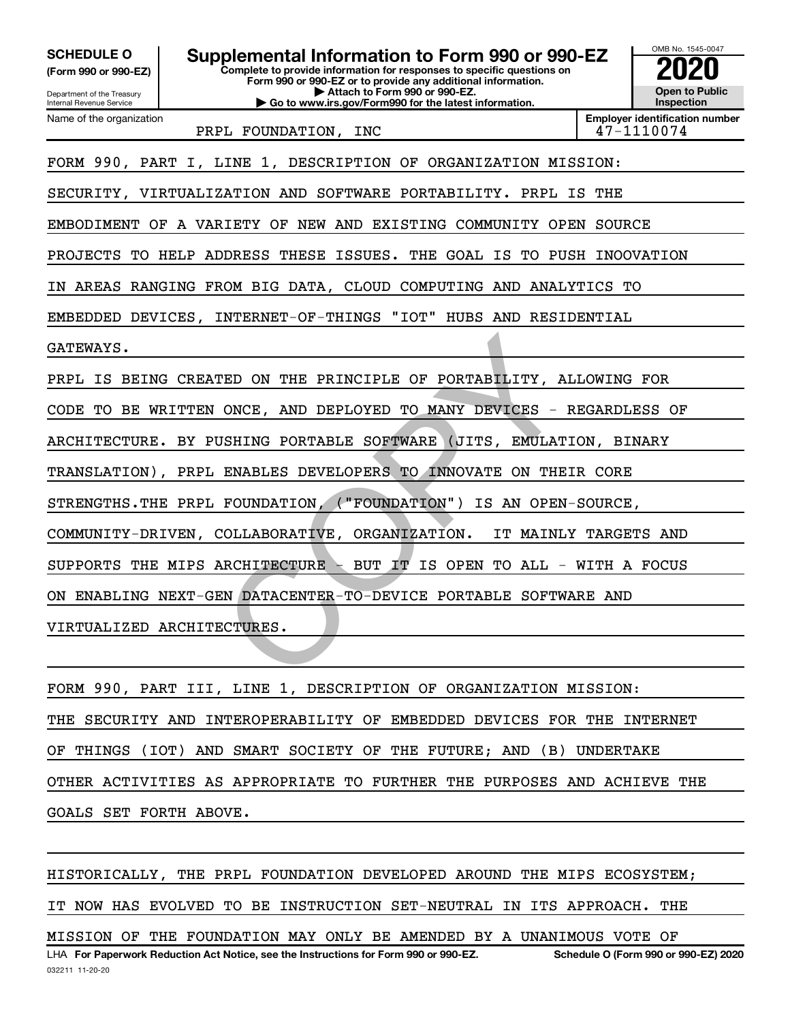| <b>SCHEDULE O</b><br>(Form 990 or 990-EZ)<br>Department of the Treasury<br>Internal Revenue Service | Supplemental Information to Form 990 or 990-EZ                           | OMB No. 1545-0047<br><b>Open to Public</b><br>Inspection |                                                     |  |  |  |  |  |  |
|-----------------------------------------------------------------------------------------------------|--------------------------------------------------------------------------|----------------------------------------------------------|-----------------------------------------------------|--|--|--|--|--|--|
| Name of the organization                                                                            | PRPL FOUNDATION, INC                                                     |                                                          | <b>Employer identification number</b><br>47-1110074 |  |  |  |  |  |  |
| FORM 990, PART I, LINE 1, DESCRIPTION OF ORGANIZATION MISSION:                                      |                                                                          |                                                          |                                                     |  |  |  |  |  |  |
|                                                                                                     | SECURITY, VIRTUALIZATION AND SOFTWARE PORTABILITY. PRPL IS THE           |                                                          |                                                     |  |  |  |  |  |  |
|                                                                                                     | EMBODIMENT OF A VARIETY OF NEW AND EXISTING COMMUNITY OPEN SOURCE        |                                                          |                                                     |  |  |  |  |  |  |
|                                                                                                     | PROJECTS TO HELP ADDRESS THESE ISSUES.<br>THE GOAL IS TO PUSH INOOVATION |                                                          |                                                     |  |  |  |  |  |  |
| ΙN                                                                                                  | AREAS RANGING FROM BIG DATA, CLOUD COMPUTING AND ANALYTICS TO            |                                                          |                                                     |  |  |  |  |  |  |
| EMBEDDED DEVICES,                                                                                   | INTERNET-OF-THINGS "IOT" HUBS AND RESIDENTIAL                            |                                                          |                                                     |  |  |  |  |  |  |
| GATEWAYS.                                                                                           |                                                                          |                                                          |                                                     |  |  |  |  |  |  |
|                                                                                                     | PRPL IS BEING CREATED ON THE PRINCIPLE OF PORTABILITY, ALLOWING FOR      |                                                          |                                                     |  |  |  |  |  |  |
|                                                                                                     | CODE TO BE WRITTEN ONCE, AND DEPLOYED TO MANY DEVICES - REGARDLESS OF    |                                                          |                                                     |  |  |  |  |  |  |
|                                                                                                     | ARCHITECTURE. BY PUSHING PORTABLE SOFTWARE<br>(JITS, EMULATION, BINARY   |                                                          |                                                     |  |  |  |  |  |  |
|                                                                                                     | TRANSLATION), PRPL ENABLES DEVELOPERS TO INNOVATE ON THEIR CORE          |                                                          |                                                     |  |  |  |  |  |  |
|                                                                                                     | STRENGTHS. THE PRPL FOUNDATION, ("FOUNDATION") IS AN OPEN-SOURCE,        |                                                          |                                                     |  |  |  |  |  |  |
|                                                                                                     | COMMUNITY-DRIVEN, COLLABORATIVE, ORGANIZATION.<br>IT MAINLY TARGETS AND  |                                                          |                                                     |  |  |  |  |  |  |
|                                                                                                     | SUPPORTS THE MIPS ARCHITECTURE -<br>BUT IT IS OPEN TO ALL - WITH A FOCUS |                                                          |                                                     |  |  |  |  |  |  |
| ENABLING NEXT-GEN DATACENTER-TO-DEVICE PORTABLE SOFTWARE AND<br>ON.                                 |                                                                          |                                                          |                                                     |  |  |  |  |  |  |
|                                                                                                     | VIRTUALIZED ARCHITECTURES.                                               |                                                          |                                                     |  |  |  |  |  |  |
|                                                                                                     |                                                                          |                                                          |                                                     |  |  |  |  |  |  |
|                                                                                                     |                                                                          |                                                          |                                                     |  |  |  |  |  |  |

FORM 990, PART III, LINE 1, DESCRIPTION OF ORGANIZATION MISSION: THE SECURITY AND INTEROPERABILITY OF EMBEDDED DEVICES FOR THE INTERNET OF THINGS (IOT) AND SMART SOCIETY OF THE FUTURE; AND (B) UNDERTAKE OTHER ACTIVITIES AS APPROPRIATE TO FURTHER THE PURPOSES AND ACHIEVE THE GOALS SET FORTH ABOVE.

**For Paperwork Reduction Act Notice, see the Instructions for Form 990 or 990-EZ. Schedule O (Form 990 or 990-EZ) 2020** LHA HISTORICALLY, THE PRPL FOUNDATION DEVELOPED AROUND THE MIPS ECOSYSTEM; IT NOW HAS EVOLVED TO BE INSTRUCTION SET-NEUTRAL IN ITS APPROACH. THE MISSION OF THE FOUNDATION MAY ONLY BE AMENDED BY A UNANIMOUS VOTE OF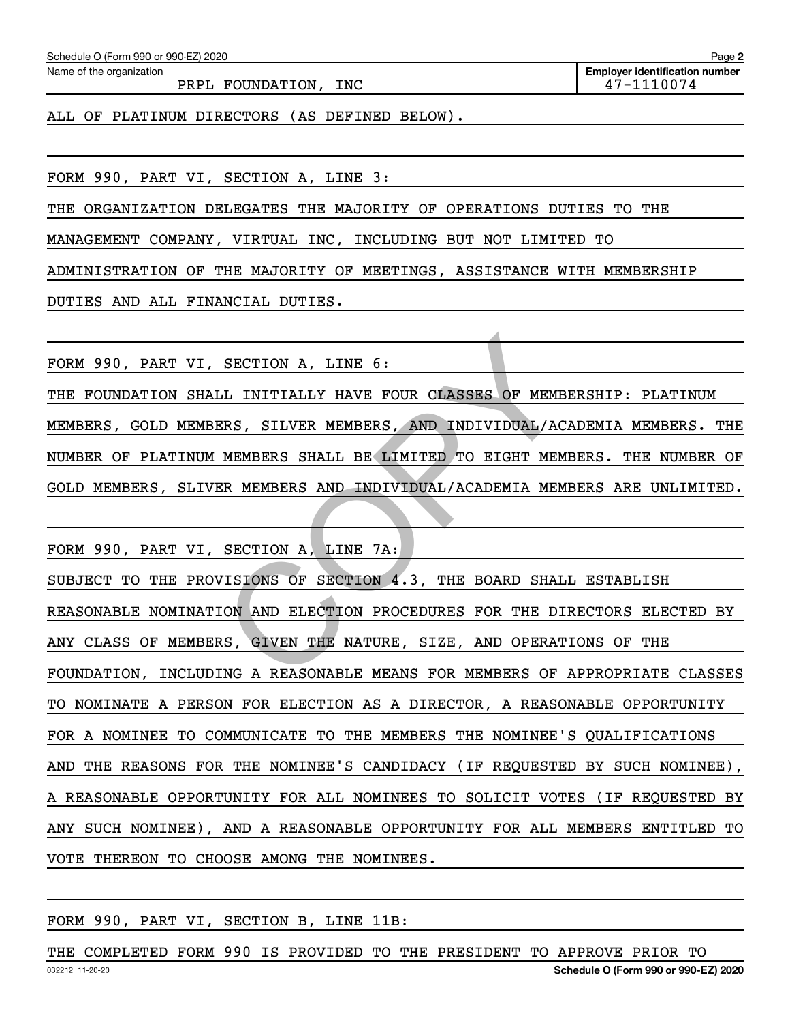Name of the organization

PRPL FOUNDATION, INC 47-1110074

**Employer identification number**

ALL OF PLATINUM DIRECTORS (AS DEFINED BELOW).

FORM 990, PART VI, SECTION A, LINE 3:

THE ORGANIZATION DELEGATES THE MAJORITY OF OPERATIONS DUTIES TO THE

MANAGEMENT COMPANY, VIRTUAL INC, INCLUDING BUT NOT LIMITED TO

ADMINISTRATION OF THE MAJORITY OF MEETINGS, ASSISTANCE WITH MEMBERSHIP

DUTIES AND ALL FINANCIAL DUTIES.

FORM 990, PART VI, SECTION A, LINE 6:

THE FOUNDATION SHALL INITIALLY HAVE FOUR CLASSES OF MEMBERSHIP: PLATINUM MEMBERS, GOLD MEMBERS, SILVER MEMBERS, AND INDIVIDUAL/ACADEMIA MEMBERS. THE NUMBER OF PLATINUM MEMBERS SHALL BE LIMITED TO EIGHT MEMBERS. THE NUMBER OF GOLD MEMBERS, SLIVER MEMBERS AND INDIVIDUAL/ACADEMIA MEMBERS ARE UNLIMITED.

FORM 990, PART VI, SECTION A, LINE 7A: SUBJECT TO THE PROVISIONS OF SECTION 4.3, THE BOARD SHALL ESTABLISH REASONABLE NOMINATION AND ELECTION PROCEDURES FOR THE DIRECTORS ELECTED BY ANY CLASS OF MEMBERS, GIVEN THE NATURE, SIZE, AND OPERATIONS OF THE FOUNDATION, INCLUDING A REASONABLE MEANS FOR MEMBERS OF APPROPRIATE CLASSES TO NOMINATE A PERSON FOR ELECTION AS A DIRECTOR, A REASONABLE OPPORTUNITY FOR A NOMINEE TO COMMUNICATE TO THE MEMBERS THE NOMINEE'S QUALIFICATIONS AND THE REASONS FOR THE NOMINEE'S CANDIDACY (IF REQUESTED BY SUCH NOMINEE), A REASONABLE OPPORTUNITY FOR ALL NOMINEES TO SOLICIT VOTES (IF REQUESTED BY ANY SUCH NOMINEE), AND A REASONABLE OPPORTUNITY FOR ALL MEMBERS ENTITLED TO VOTE THEREON TO CHOOSE AMONG THE NOMINEES. SECTION A, LINE 6:<br>
CLI INITIALLY HAVE FOUR CLASSES OF MEMBERS, SILVER MEMBERS, AND INDIVIDUAL/AC<br>
MEMBERS SHALL BE LIMITED TO EIGHT MEM<br>
SR MEMBERS AND INDIVIDUAL/ACADEMIA MEM<br>
SECTION A, LINE 7A:<br>
JISIONS OF SECTION 4.3,

#### FORM 990, PART VI, SECTION B, LINE 11B:

032212 11-20-20 **Schedule O (Form 990 or 990-EZ) 2020** THE COMPLETED FORM 990 IS PROVIDED TO THE PRESIDENT TO APPROVE PRIOR TO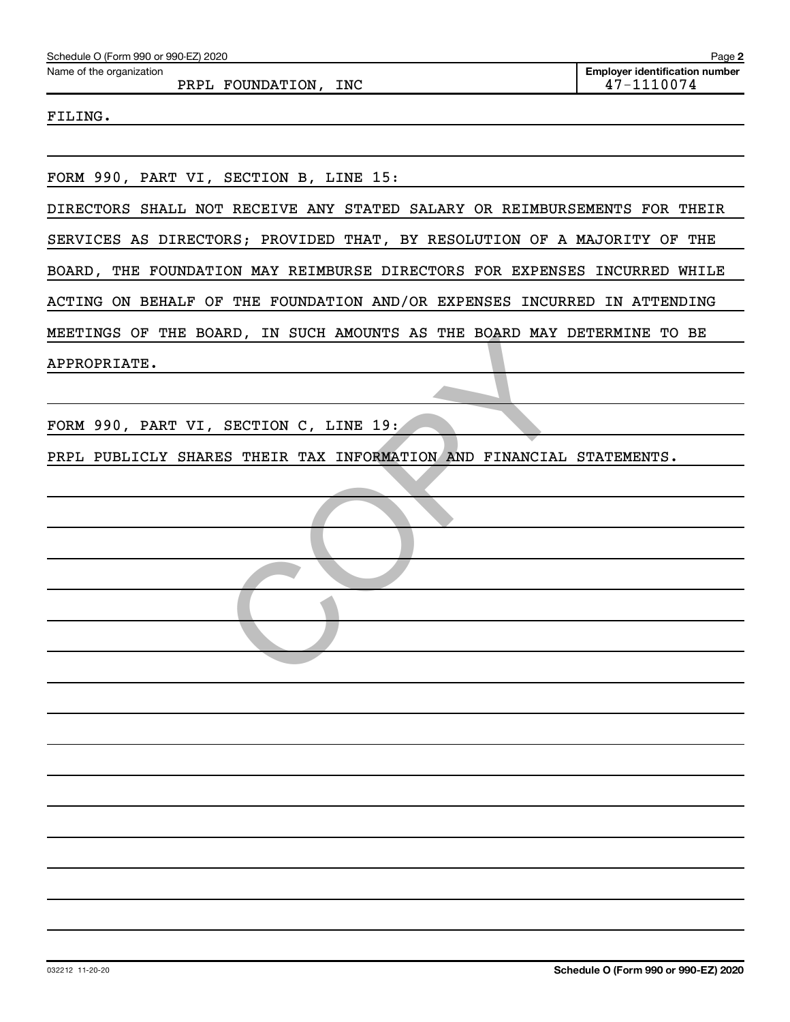| Schedule O (Form 990 or 990-EZ) 2020                                      | Page 2                                              |
|---------------------------------------------------------------------------|-----------------------------------------------------|
| Name of the organization<br>PRPL FOUNDATION, INC                          | <b>Employer identification number</b><br>47-1110074 |
| FILING.                                                                   |                                                     |
|                                                                           |                                                     |
|                                                                           |                                                     |
| FORM 990, PART VI, SECTION B, LINE 15:                                    |                                                     |
| DIRECTORS SHALL NOT RECEIVE ANY STATED SALARY OR REIMBURSEMENTS FOR THEIR |                                                     |
| SERVICES AS DIRECTORS; PROVIDED THAT, BY RESOLUTION OF A MAJORITY OF THE  |                                                     |
| BOARD, THE FOUNDATION MAY REIMBURSE DIRECTORS FOR EXPENSES INCURRED WHILE |                                                     |
| ACTING ON BEHALF OF THE FOUNDATION AND/OR EXPENSES INCURRED IN ATTENDING  |                                                     |
| MEETINGS OF THE BOARD, IN SUCH AMOUNTS AS THE BOARD MAY DETERMINE TO BE   |                                                     |
| APPROPRIATE.                                                              |                                                     |
|                                                                           |                                                     |
| FORM 990, PART VI, SECTION C, LINE 19:                                    |                                                     |
| PRPL PUBLICLY SHARES THEIR TAX INFORMATION AND FINANCIAL STATEMENTS.      |                                                     |
|                                                                           |                                                     |
|                                                                           |                                                     |
|                                                                           |                                                     |
|                                                                           |                                                     |
|                                                                           |                                                     |
|                                                                           |                                                     |
|                                                                           |                                                     |
|                                                                           |                                                     |
|                                                                           |                                                     |
|                                                                           |                                                     |
|                                                                           |                                                     |
|                                                                           |                                                     |
|                                                                           |                                                     |
|                                                                           |                                                     |
|                                                                           |                                                     |
|                                                                           |                                                     |
|                                                                           |                                                     |